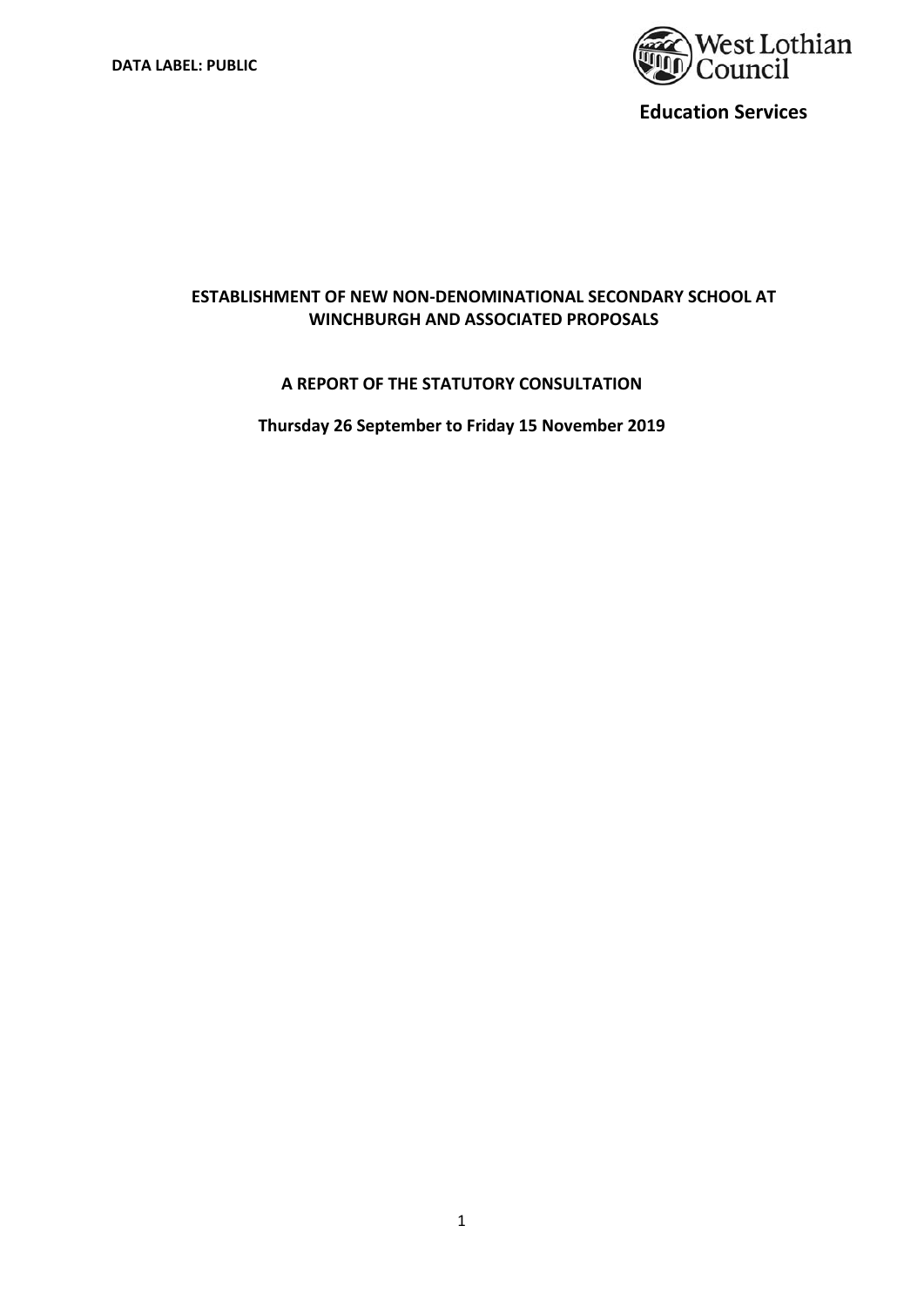

# **ESTABLISHMENT OF NEW NON‐DENOMINATIONAL SECONDARY SCHOOL AT WINCHBURGH AND ASSOCIATED PROPOSALS**

## **A REPORT OF THE STATUTORY CONSULTATION**

**Thursday 26 September to Friday 15 November 2019**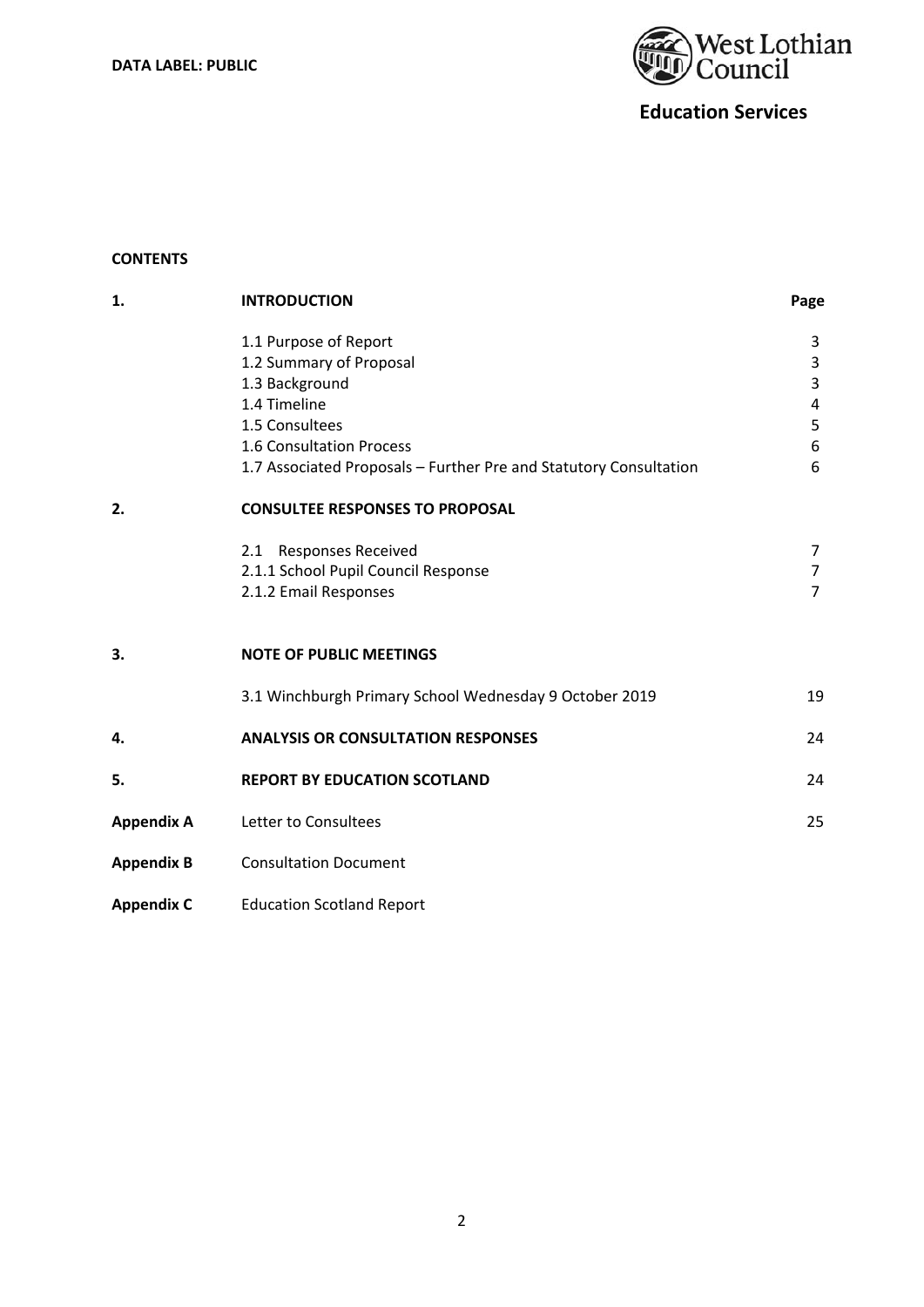

## **CONTENTS**

| 1.                | <b>INTRODUCTION</b>                                               | Page                    |
|-------------------|-------------------------------------------------------------------|-------------------------|
|                   | 1.1 Purpose of Report                                             | 3                       |
|                   | 1.2 Summary of Proposal                                           | 3                       |
|                   | 1.3 Background                                                    | 3                       |
|                   | 1.4 Timeline                                                      | $\overline{\mathbf{4}}$ |
|                   | 1.5 Consultees                                                    | 5                       |
|                   | 1.6 Consultation Process                                          | 6                       |
|                   | 1.7 Associated Proposals - Further Pre and Statutory Consultation | 6                       |
| 2.                | <b>CONSULTEE RESPONSES TO PROPOSAL</b>                            |                         |
|                   | 2.1 Responses Received                                            | 7                       |
|                   | 2.1.1 School Pupil Council Response                               | $\overline{7}$          |
|                   | 2.1.2 Email Responses                                             | $\overline{7}$          |
| 3.                | <b>NOTE OF PUBLIC MEETINGS</b>                                    |                         |
|                   | 3.1 Winchburgh Primary School Wednesday 9 October 2019            | 19                      |
| 4.                | <b>ANALYSIS OR CONSULTATION RESPONSES</b>                         | 24                      |
| 5.                | <b>REPORT BY EDUCATION SCOTLAND</b>                               | 24                      |
| <b>Appendix A</b> | Letter to Consultees                                              | 25                      |
| <b>Appendix B</b> | <b>Consultation Document</b>                                      |                         |
| <b>Appendix C</b> | <b>Education Scotland Report</b>                                  |                         |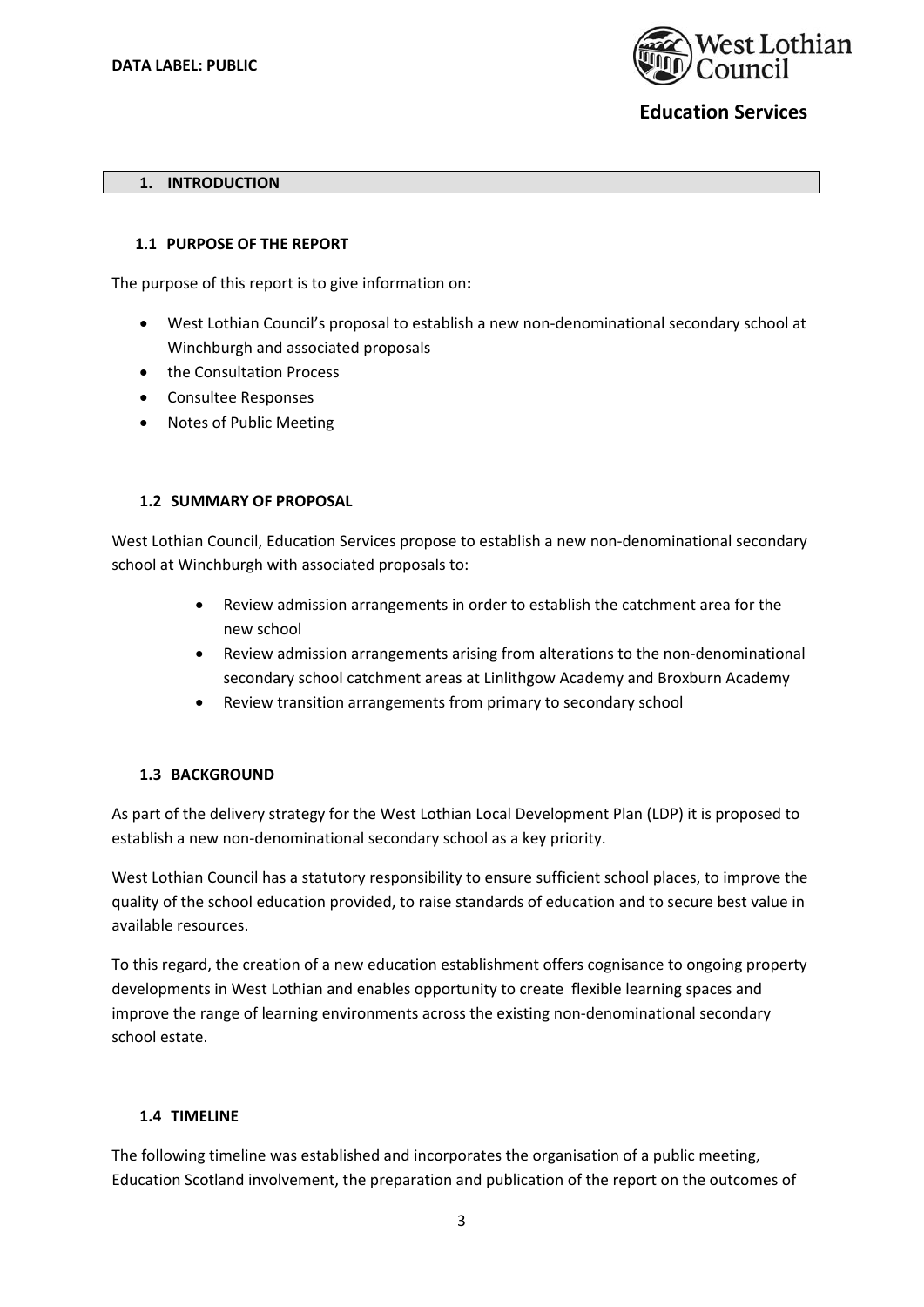

#### **1. INTRODUCTION**

#### **1.1 PURPOSE OF THE REPORT**

The purpose of this report is to give information on**:** 

- West Lothian Council's proposal to establish a new non‐denominational secondary school at Winchburgh and associated proposals
- the Consultation Process
- Consultee Responses
- Notes of Public Meeting

## **1.2 SUMMARY OF PROPOSAL**

West Lothian Council, Education Services propose to establish a new non-denominational secondary school at Winchburgh with associated proposals to:

- Review admission arrangements in order to establish the catchment area for the new school
- Review admission arrangements arising from alterations to the non‐denominational secondary school catchment areas at Linlithgow Academy and Broxburn Academy
- Review transition arrangements from primary to secondary school

### **1.3 BACKGROUND**

As part of the delivery strategy for the West Lothian Local Development Plan (LDP) it is proposed to establish a new non-denominational secondary school as a key priority.

West Lothian Council has a statutory responsibility to ensure sufficient school places, to improve the quality of the school education provided, to raise standards of education and to secure best value in available resources.

To this regard, the creation of a new education establishment offers cognisance to ongoing property developments in West Lothian and enables opportunity to create flexible learning spaces and improve the range of learning environments across the existing non-denominational secondary school estate.

### **1.4 TIMELINE**

The following timeline was established and incorporates the organisation of a public meeting, Education Scotland involvement, the preparation and publication of the report on the outcomes of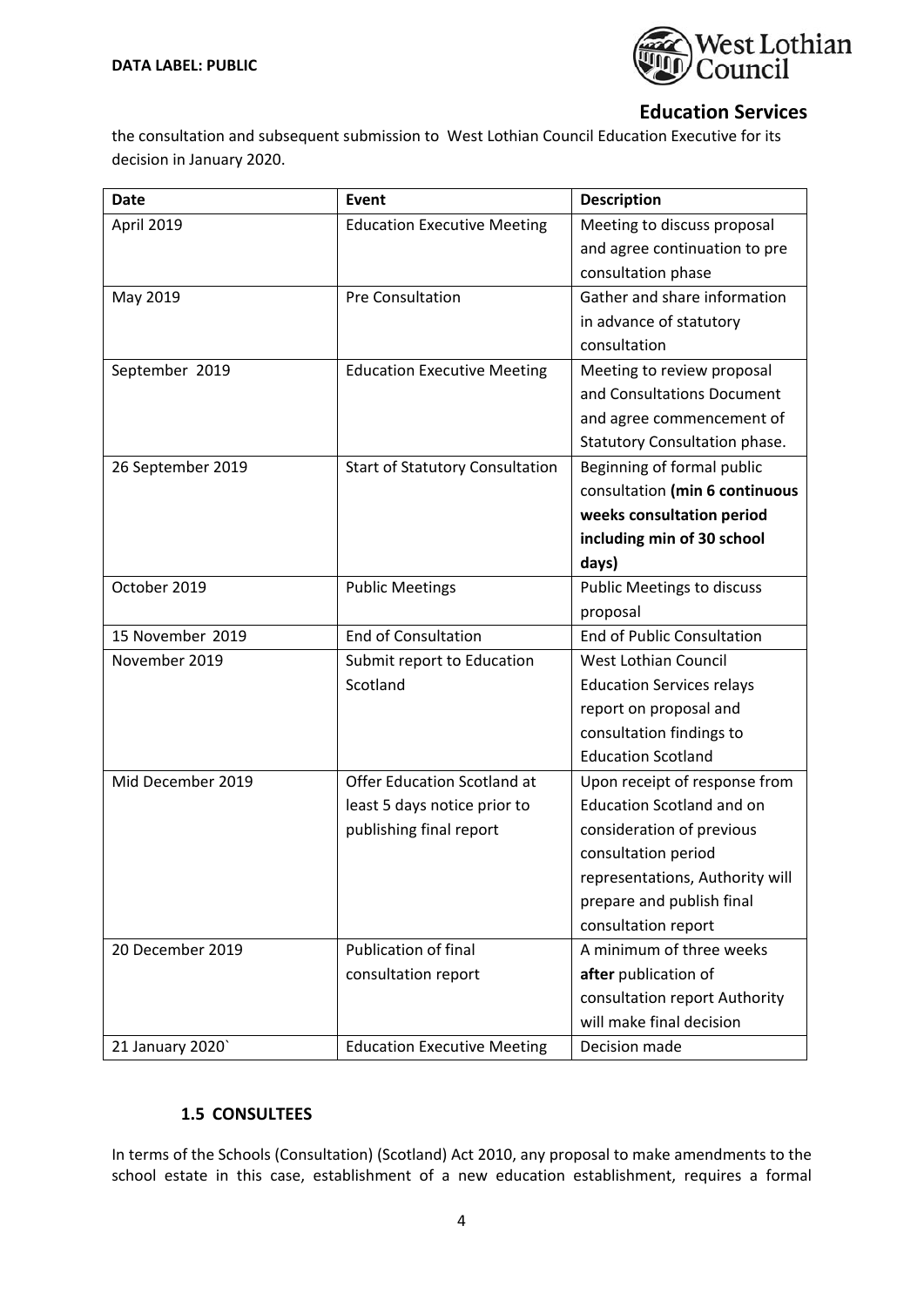

the consultation and subsequent submission to West Lothian Council Education Executive for its decision in January 2020.

| <b>Date</b>       | Event                                  | <b>Description</b>                                          |
|-------------------|----------------------------------------|-------------------------------------------------------------|
| April 2019        | <b>Education Executive Meeting</b>     | Meeting to discuss proposal                                 |
|                   |                                        | and agree continuation to pre                               |
|                   |                                        | consultation phase                                          |
| May 2019          | <b>Pre Consultation</b>                | Gather and share information                                |
|                   |                                        | in advance of statutory                                     |
|                   |                                        | consultation                                                |
| September 2019    | <b>Education Executive Meeting</b>     | Meeting to review proposal                                  |
|                   |                                        | and Consultations Document                                  |
|                   |                                        | and agree commencement of                                   |
|                   |                                        | Statutory Consultation phase.<br>Beginning of formal public |
| 26 September 2019 | <b>Start of Statutory Consultation</b> | consultation (min 6 continuous                              |
|                   |                                        | weeks consultation period                                   |
|                   |                                        | including min of 30 school                                  |
|                   |                                        | days)                                                       |
| October 2019      | <b>Public Meetings</b>                 | <b>Public Meetings to discuss</b>                           |
|                   |                                        | proposal                                                    |
| 15 November 2019  | <b>End of Consultation</b>             | <b>End of Public Consultation</b>                           |
| November 2019     | Submit report to Education             | <b>West Lothian Council</b>                                 |
|                   | Scotland                               | <b>Education Services relays</b>                            |
|                   |                                        | report on proposal and                                      |
|                   |                                        | consultation findings to                                    |
|                   |                                        | <b>Education Scotland</b>                                   |
| Mid December 2019 | Offer Education Scotland at            | Upon receipt of response from                               |
|                   | least 5 days notice prior to           | <b>Education Scotland and on</b>                            |
|                   | publishing final report                | consideration of previous                                   |
|                   |                                        | consultation period                                         |
|                   |                                        | representations, Authority will                             |
|                   |                                        | prepare and publish final                                   |
|                   |                                        | consultation report                                         |
| 20 December 2019  | <b>Publication of final</b>            | A minimum of three weeks                                    |
|                   | consultation report                    | after publication of                                        |
|                   |                                        | consultation report Authority                               |
|                   |                                        | will make final decision                                    |
| 21 January 2020'  | <b>Education Executive Meeting</b>     | Decision made                                               |

## **1.5 CONSULTEES**

In terms of the Schools (Consultation) (Scotland) Act 2010, any proposal to make amendments to the school estate in this case, establishment of a new education establishment, requires a formal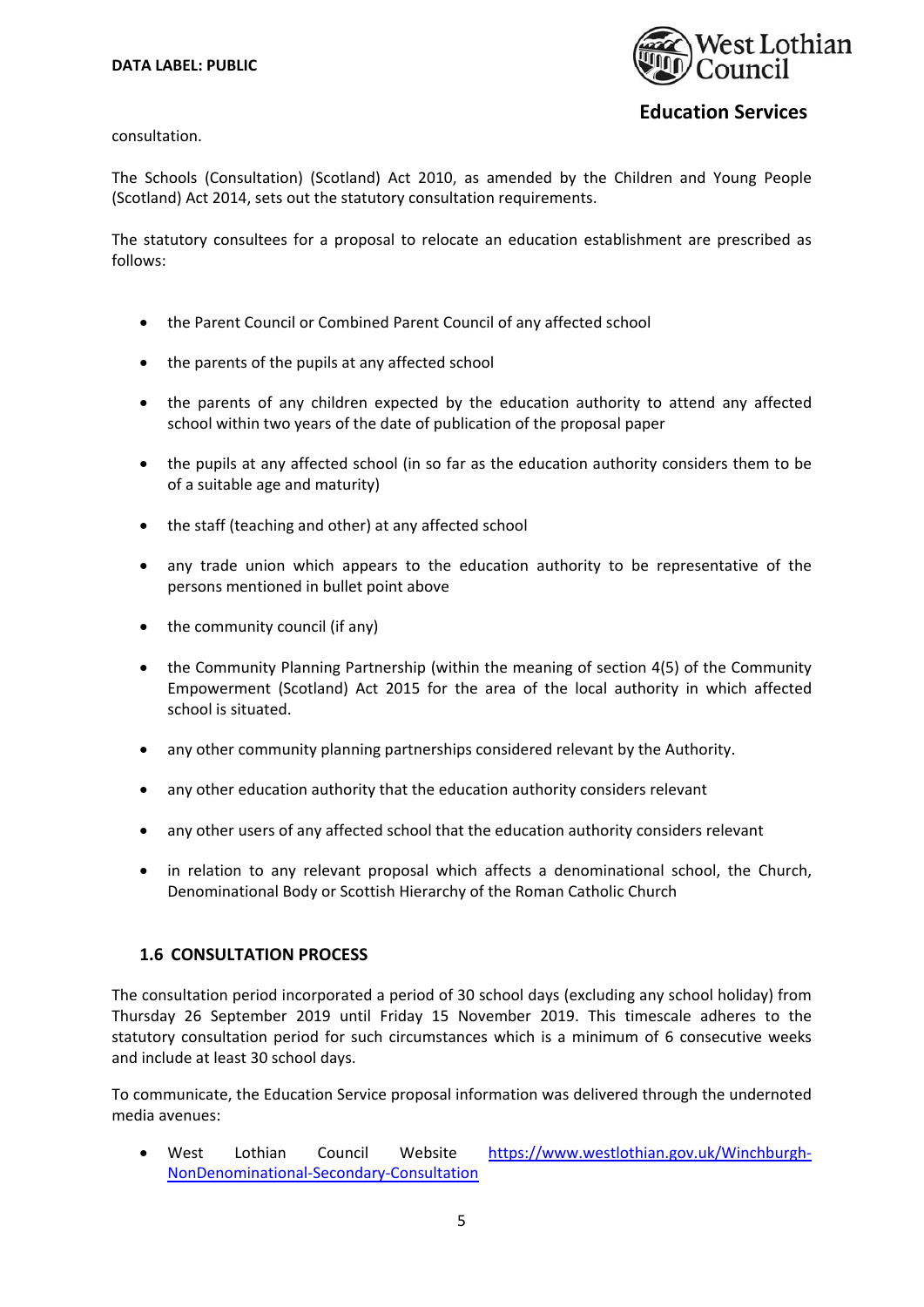

consultation.

The Schools (Consultation) (Scotland) Act 2010, as amended by the Children and Young People (Scotland) Act 2014, sets out the statutory consultation requirements.

The statutory consultees for a proposal to relocate an education establishment are prescribed as follows:

- the Parent Council or Combined Parent Council of any affected school
- the parents of the pupils at any affected school
- the parents of any children expected by the education authority to attend any affected school within two years of the date of publication of the proposal paper
- the pupils at any affected school (in so far as the education authority considers them to be of a suitable age and maturity)
- the staff (teaching and other) at any affected school
- any trade union which appears to the education authority to be representative of the persons mentioned in bullet point above
- the community council (if any)
- the Community Planning Partnership (within the meaning of section 4(5) of the Community Empowerment (Scotland) Act 2015 for the area of the local authority in which affected school is situated.
- any other community planning partnerships considered relevant by the Authority.
- any other education authority that the education authority considers relevant
- any other users of any affected school that the education authority considers relevant
- in relation to any relevant proposal which affects a denominational school, the Church, Denominational Body or Scottish Hierarchy of the Roman Catholic Church

### **1.6 CONSULTATION PROCESS**

The consultation period incorporated a period of 30 school days (excluding any school holiday) from Thursday 26 September 2019 until Friday 15 November 2019. This timescale adheres to the statutory consultation period for such circumstances which is a minimum of 6 consecutive weeks and include at least 30 school days.

To communicate, the Education Service proposal information was delivered through the undernoted media avenues:

West Lothian Council Website https://www.westlothian.gov.uk/Winchburgh-NonDenominational‐Secondary‐Consultation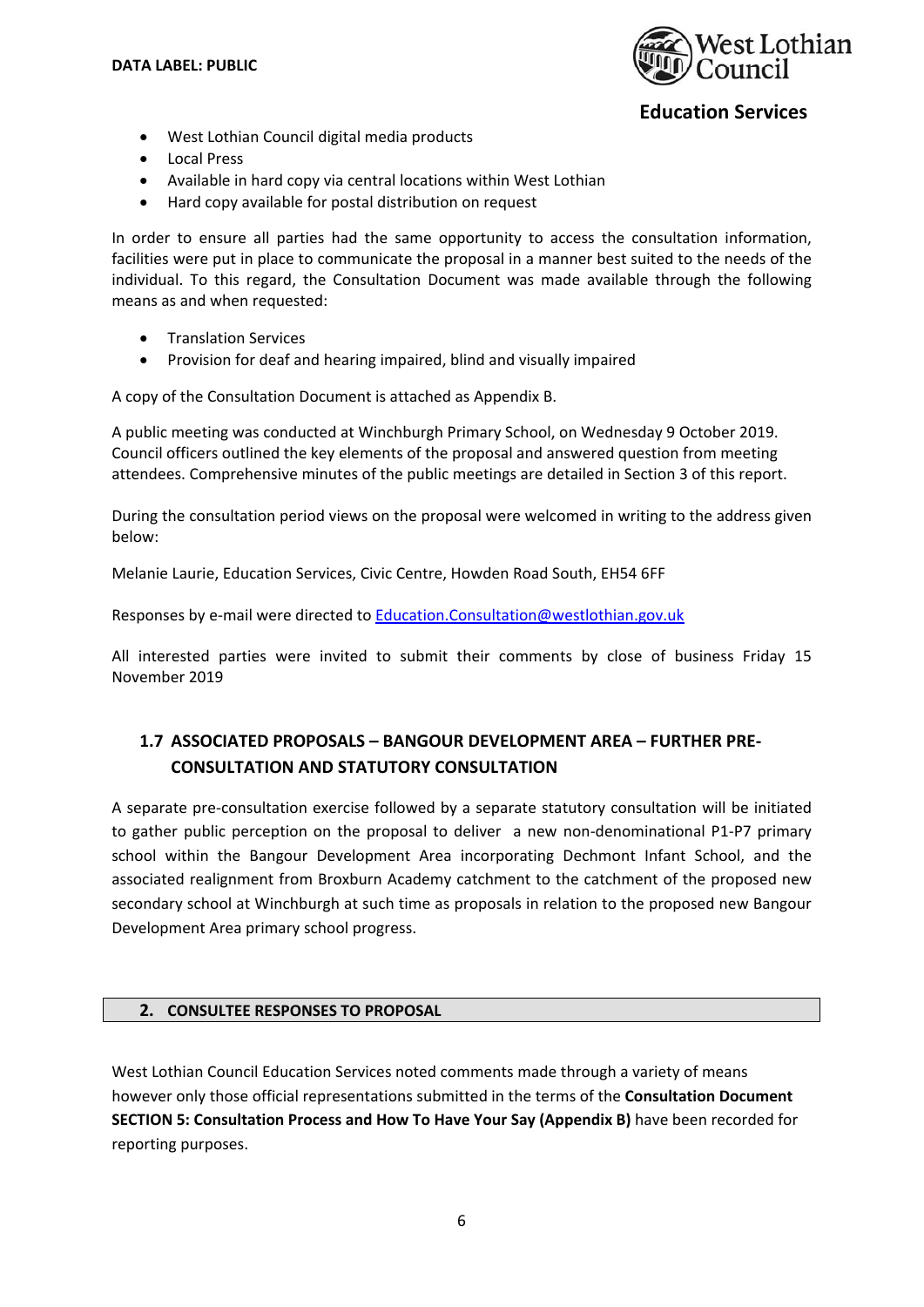

- West Lothian Council digital media products
- Local Press
- Available in hard copy via central locations within West Lothian
- Hard copy available for postal distribution on request

In order to ensure all parties had the same opportunity to access the consultation information, facilities were put in place to communicate the proposal in a manner best suited to the needs of the individual. To this regard, the Consultation Document was made available through the following means as and when requested:

- **•** Translation Services
- Provision for deaf and hearing impaired, blind and visually impaired

A copy of the Consultation Document is attached as Appendix B.

A public meeting was conducted at Winchburgh Primary School, on Wednesday 9 October 2019. Council officers outlined the key elements of the proposal and answered question from meeting attendees. Comprehensive minutes of the public meetings are detailed in Section 3 of this report.

During the consultation period views on the proposal were welcomed in writing to the address given below:

Melanie Laurie, Education Services, Civic Centre, Howden Road South, EH54 6FF

Responses by e-mail were directed to Education.Consultation@westlothian.gov.uk

All interested parties were invited to submit their comments by close of business Friday 15 November 2019

# **1.7 ASSOCIATED PROPOSALS – BANGOUR DEVELOPMENT AREA – FURTHER PRE‐ CONSULTATION AND STATUTORY CONSULTATION**

A separate pre‐consultation exercise followed by a separate statutory consultation will be initiated to gather public perception on the proposal to deliver a new non-denominational P1-P7 primary school within the Bangour Development Area incorporating Dechmont Infant School, and the associated realignment from Broxburn Academy catchment to the catchment of the proposed new secondary school at Winchburgh at such time as proposals in relation to the proposed new Bangour Development Area primary school progress.

### **2. CONSULTEE RESPONSES TO PROPOSAL**

West Lothian Council Education Services noted comments made through a variety of means however only those official representations submitted in the terms of the **Consultation Document SECTION 5: Consultation Process and How To Have Your Say (Appendix B)** have been recorded for reporting purposes.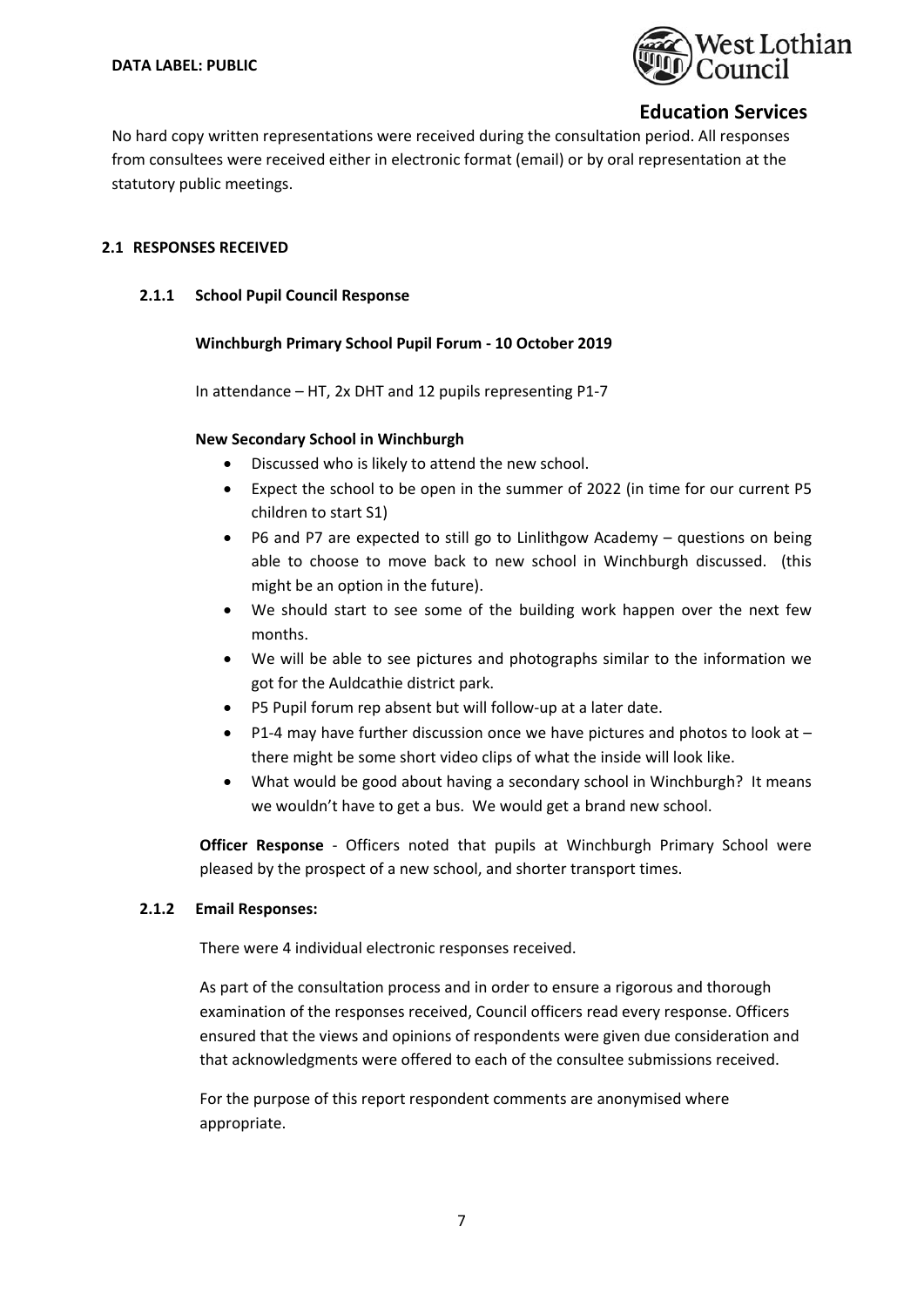

No hard copy written representations were received during the consultation period. All responses from consultees were received either in electronic format (email) or by oral representation at the statutory public meetings.

## **2.1 RESPONSES RECEIVED**

### **2.1.1 School Pupil Council Response**

## **Winchburgh Primary School Pupil Forum ‐ 10 October 2019**

In attendance – HT, 2x DHT and 12 pupils representing P1‐7

## **New Secondary School in Winchburgh**

- Discussed who is likely to attend the new school.
- Expect the school to be open in the summer of 2022 (in time for our current P5 children to start S1)
- P6 and P7 are expected to still go to Linlithgow Academy questions on being able to choose to move back to new school in Winchburgh discussed. (this might be an option in the future).
- We should start to see some of the building work happen over the next few months.
- We will be able to see pictures and photographs similar to the information we got for the Auldcathie district park.
- P5 Pupil forum rep absent but will follow-up at a later date.
- P1-4 may have further discussion once we have pictures and photos to look at there might be some short video clips of what the inside will look like.
- What would be good about having a secondary school in Winchburgh? It means we wouldn't have to get a bus. We would get a brand new school.

**Officer Response** - Officers noted that pupils at Winchburgh Primary School were pleased by the prospect of a new school, and shorter transport times.

### **2.1.2 Email Responses:**

There were 4 individual electronic responses received.

As part of the consultation process and in order to ensure a rigorous and thorough examination of the responses received, Council officers read every response. Officers ensured that the views and opinions of respondents were given due consideration and that acknowledgments were offered to each of the consultee submissions received.

For the purpose of this report respondent comments are anonymised where appropriate.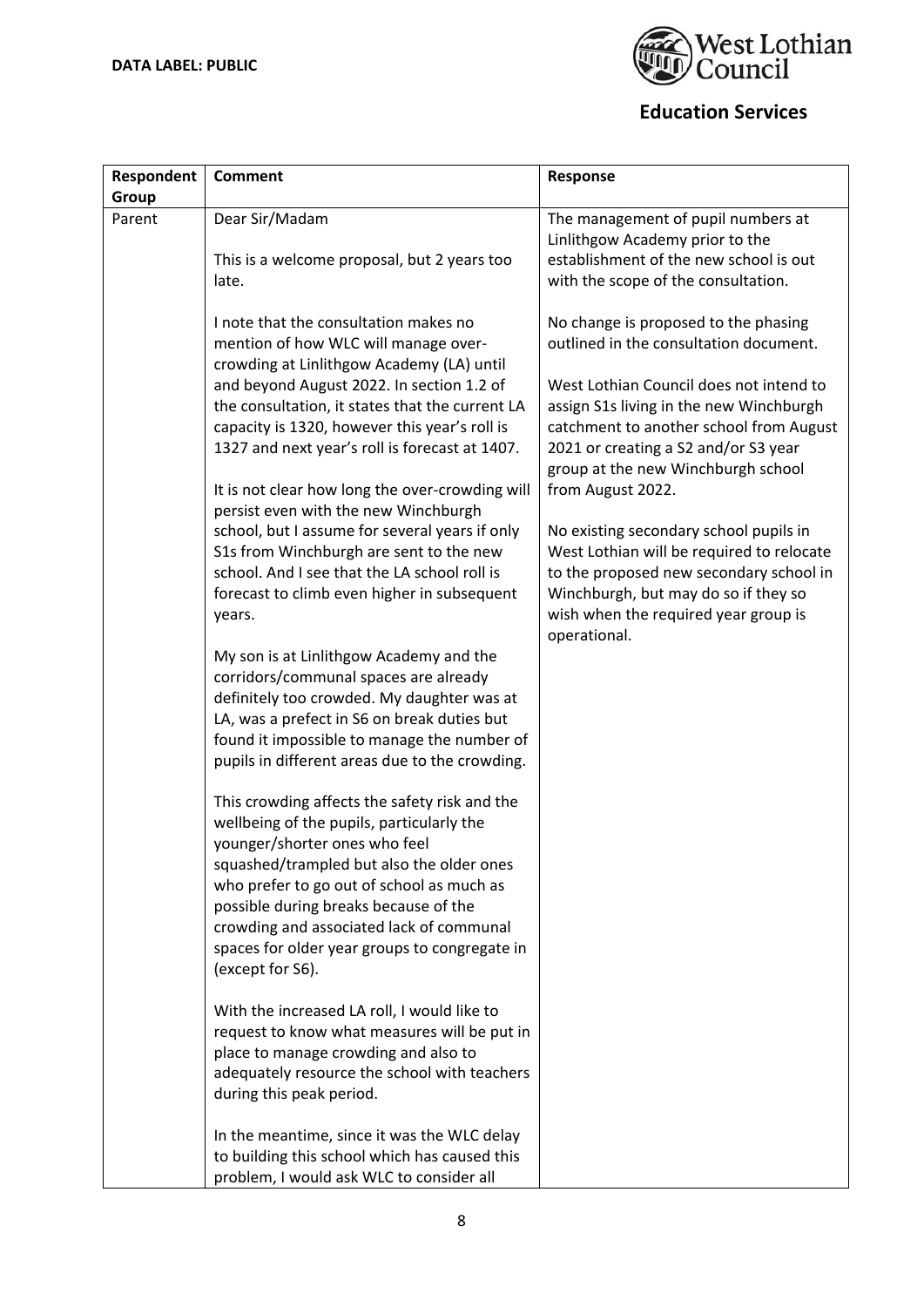

| Respondent | <b>Comment</b>                                                                | Response                                                                       |
|------------|-------------------------------------------------------------------------------|--------------------------------------------------------------------------------|
| Group      |                                                                               |                                                                                |
| Parent     | Dear Sir/Madam                                                                | The management of pupil numbers at                                             |
|            |                                                                               | Linlithgow Academy prior to the                                                |
|            | This is a welcome proposal, but 2 years too                                   | establishment of the new school is out                                         |
|            | late.                                                                         | with the scope of the consultation.                                            |
|            |                                                                               |                                                                                |
|            | I note that the consultation makes no<br>mention of how WLC will manage over- | No change is proposed to the phasing<br>outlined in the consultation document. |
|            | crowding at Linlithgow Academy (LA) until                                     |                                                                                |
|            | and beyond August 2022. In section 1.2 of                                     | West Lothian Council does not intend to                                        |
|            | the consultation, it states that the current LA                               | assign S1s living in the new Winchburgh                                        |
|            | capacity is 1320, however this year's roll is                                 | catchment to another school from August                                        |
|            | 1327 and next year's roll is forecast at 1407.                                | 2021 or creating a S2 and/or S3 year                                           |
|            |                                                                               | group at the new Winchburgh school                                             |
|            | It is not clear how long the over-crowding will                               | from August 2022.                                                              |
|            | persist even with the new Winchburgh                                          |                                                                                |
|            | school, but I assume for several years if only                                | No existing secondary school pupils in                                         |
|            | S1s from Winchburgh are sent to the new                                       | West Lothian will be required to relocate                                      |
|            | school. And I see that the LA school roll is                                  | to the proposed new secondary school in                                        |
|            | forecast to climb even higher in subsequent                                   | Winchburgh, but may do so if they so                                           |
|            | years.                                                                        | wish when the required year group is                                           |
|            |                                                                               | operational.                                                                   |
|            | My son is at Linlithgow Academy and the                                       |                                                                                |
|            | corridors/communal spaces are already                                         |                                                                                |
|            | definitely too crowded. My daughter was at                                    |                                                                                |
|            | LA, was a prefect in S6 on break duties but                                   |                                                                                |
|            | found it impossible to manage the number of                                   |                                                                                |
|            | pupils in different areas due to the crowding.                                |                                                                                |
|            |                                                                               |                                                                                |
|            | This crowding affects the safety risk and the                                 |                                                                                |
|            | wellbeing of the pupils, particularly the                                     |                                                                                |
|            | younger/shorter ones who feel                                                 |                                                                                |
|            | squashed/trampled but also the older ones                                     |                                                                                |
|            | who prefer to go out of school as much as                                     |                                                                                |
|            | possible during breaks because of the                                         |                                                                                |
|            | crowding and associated lack of communal                                      |                                                                                |
|            | spaces for older year groups to congregate in                                 |                                                                                |
|            | (except for S6).                                                              |                                                                                |
|            | With the increased LA roll, I would like to                                   |                                                                                |
|            | request to know what measures will be put in                                  |                                                                                |
|            | place to manage crowding and also to                                          |                                                                                |
|            | adequately resource the school with teachers                                  |                                                                                |
|            | during this peak period.                                                      |                                                                                |
|            |                                                                               |                                                                                |
|            | In the meantime, since it was the WLC delay                                   |                                                                                |
|            | to building this school which has caused this                                 |                                                                                |
|            | problem, I would ask WLC to consider all                                      |                                                                                |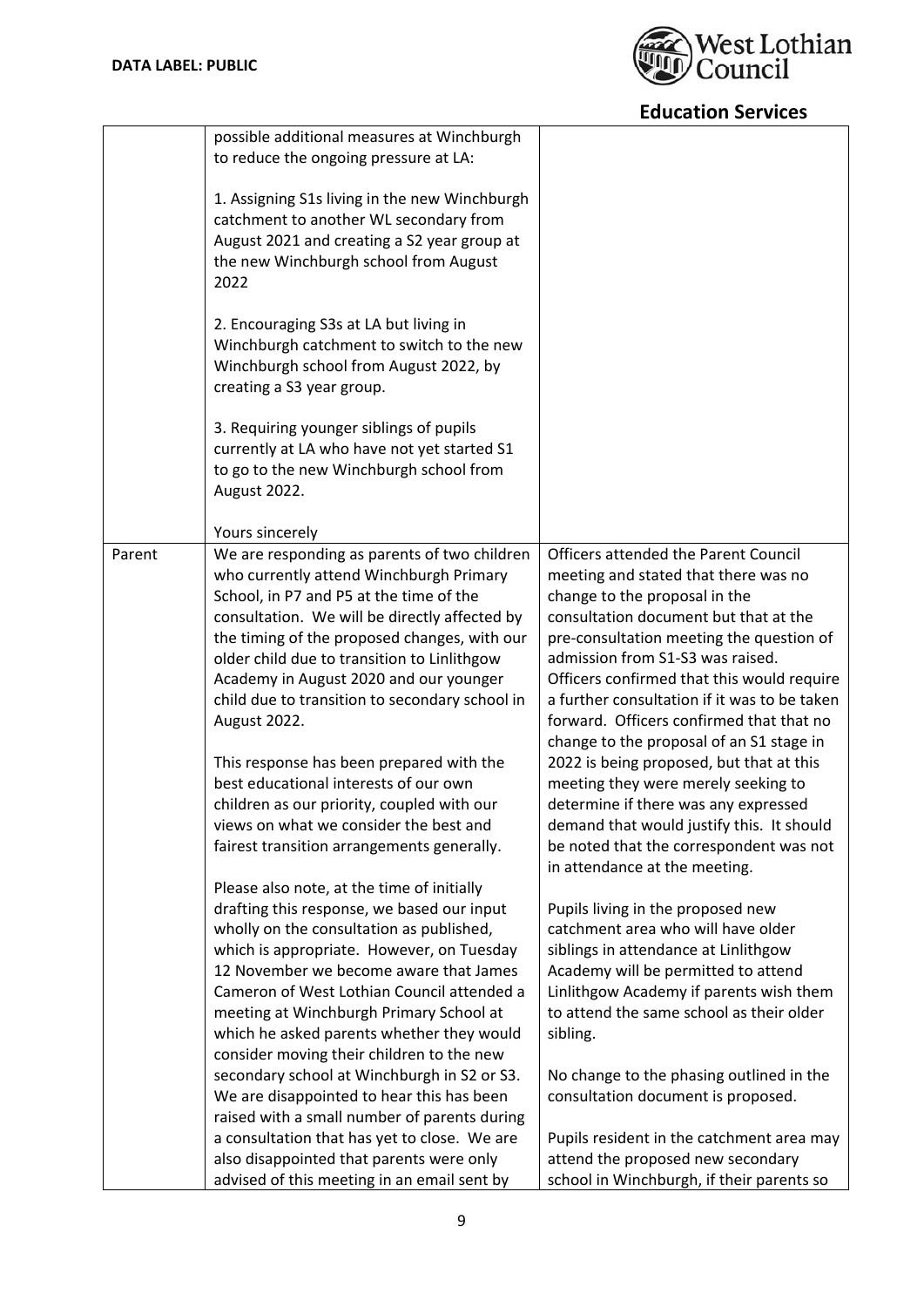

|        | possible additional measures at Winchburgh<br>to reduce the ongoing pressure at LA:<br>1. Assigning S1s living in the new Winchburgh<br>catchment to another WL secondary from<br>August 2021 and creating a S2 year group at<br>the new Winchburgh school from August<br>2022<br>2. Encouraging S3s at LA but living in<br>Winchburgh catchment to switch to the new<br>Winchburgh school from August 2022, by<br>creating a S3 year group.<br>3. Requiring younger siblings of pupils<br>currently at LA who have not yet started S1<br>to go to the new Winchburgh school from<br>August 2022.                                                                                                                                                                                                                                                                                                                                                                                                                                                                                                                                                                                                                                                                                                                                                     |                                                                                                                                                                                                                                                                                                                                                                                                                                                                                                                                                                                                                                                                                                                                                                                                                                                                                                                                                                                                                                                                                                                                                                |
|--------|-------------------------------------------------------------------------------------------------------------------------------------------------------------------------------------------------------------------------------------------------------------------------------------------------------------------------------------------------------------------------------------------------------------------------------------------------------------------------------------------------------------------------------------------------------------------------------------------------------------------------------------------------------------------------------------------------------------------------------------------------------------------------------------------------------------------------------------------------------------------------------------------------------------------------------------------------------------------------------------------------------------------------------------------------------------------------------------------------------------------------------------------------------------------------------------------------------------------------------------------------------------------------------------------------------------------------------------------------------|----------------------------------------------------------------------------------------------------------------------------------------------------------------------------------------------------------------------------------------------------------------------------------------------------------------------------------------------------------------------------------------------------------------------------------------------------------------------------------------------------------------------------------------------------------------------------------------------------------------------------------------------------------------------------------------------------------------------------------------------------------------------------------------------------------------------------------------------------------------------------------------------------------------------------------------------------------------------------------------------------------------------------------------------------------------------------------------------------------------------------------------------------------------|
| Parent | Yours sincerely<br>We are responding as parents of two children<br>who currently attend Winchburgh Primary<br>School, in P7 and P5 at the time of the<br>consultation. We will be directly affected by<br>the timing of the proposed changes, with our<br>older child due to transition to Linlithgow<br>Academy in August 2020 and our younger<br>child due to transition to secondary school in<br>August 2022.<br>This response has been prepared with the<br>best educational interests of our own<br>children as our priority, coupled with our<br>views on what we consider the best and<br>fairest transition arrangements generally.<br>Please also note, at the time of initially<br>drafting this response, we based our input<br>wholly on the consultation as published,<br>which is appropriate. However, on Tuesday<br>12 November we become aware that James<br>Cameron of West Lothian Council attended a<br>meeting at Winchburgh Primary School at<br>which he asked parents whether they would<br>consider moving their children to the new<br>secondary school at Winchburgh in S2 or S3.<br>We are disappointed to hear this has been<br>raised with a small number of parents during<br>a consultation that has yet to close. We are<br>also disappointed that parents were only<br>advised of this meeting in an email sent by | Officers attended the Parent Council<br>meeting and stated that there was no<br>change to the proposal in the<br>consultation document but that at the<br>pre-consultation meeting the question of<br>admission from S1-S3 was raised.<br>Officers confirmed that this would require<br>a further consultation if it was to be taken<br>forward. Officers confirmed that that no<br>change to the proposal of an S1 stage in<br>2022 is being proposed, but that at this<br>meeting they were merely seeking to<br>determine if there was any expressed<br>demand that would justify this. It should<br>be noted that the correspondent was not<br>in attendance at the meeting.<br>Pupils living in the proposed new<br>catchment area who will have older<br>siblings in attendance at Linlithgow<br>Academy will be permitted to attend<br>Linlithgow Academy if parents wish them<br>to attend the same school as their older<br>sibling.<br>No change to the phasing outlined in the<br>consultation document is proposed.<br>Pupils resident in the catchment area may<br>attend the proposed new secondary<br>school in Winchburgh, if their parents so |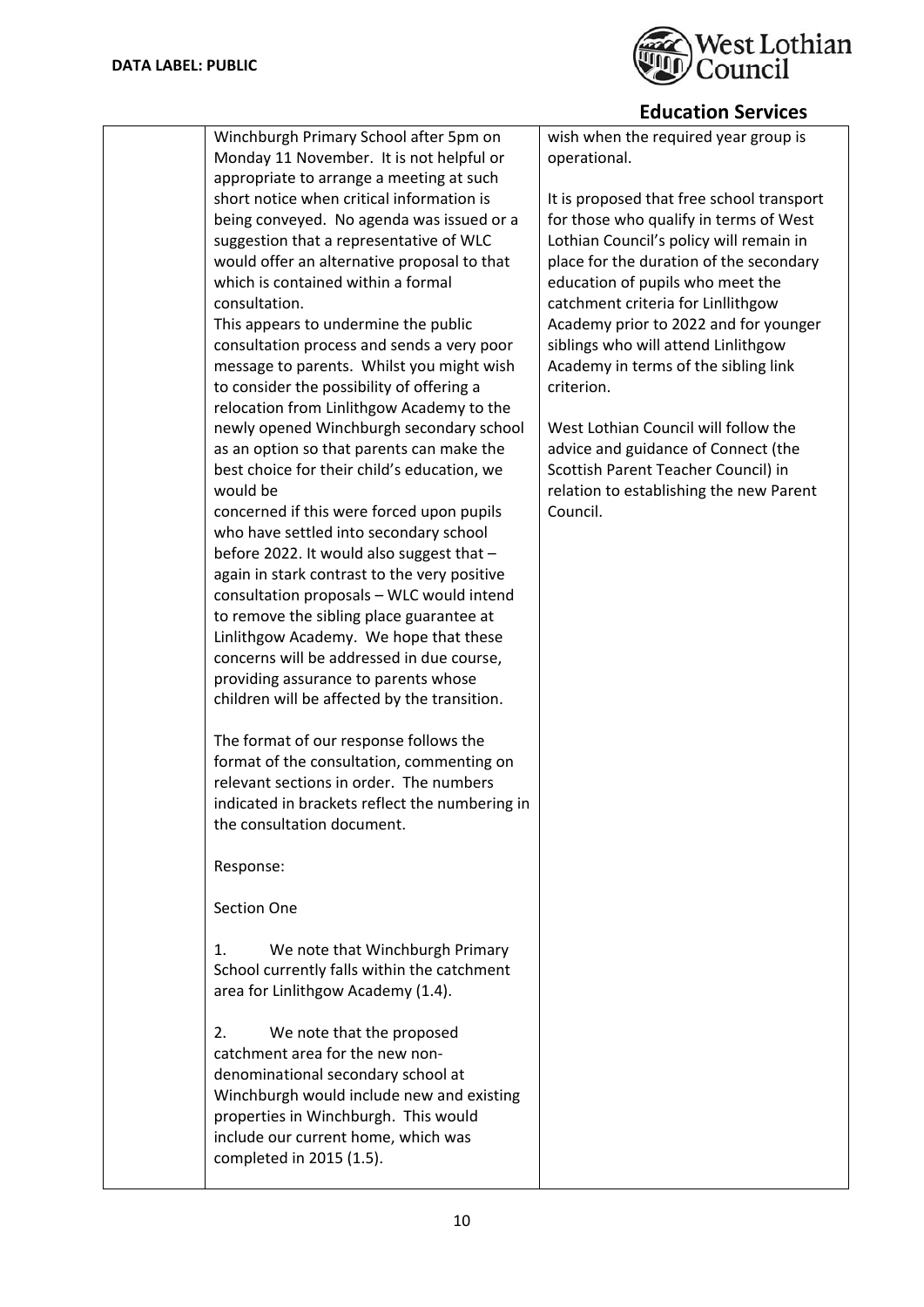

|                                                | LUULALIUII JEI VILES                      |
|------------------------------------------------|-------------------------------------------|
| Winchburgh Primary School after 5pm on         | wish when the required year group is      |
| Monday 11 November. It is not helpful or       | operational.                              |
| appropriate to arrange a meeting at such       |                                           |
| short notice when critical information is      | It is proposed that free school transport |
| being conveyed. No agenda was issued or a      | for those who qualify in terms of West    |
| suggestion that a representative of WLC        | Lothian Council's policy will remain in   |
| would offer an alternative proposal to that    | place for the duration of the secondary   |
| which is contained within a formal             | education of pupils who meet the          |
| consultation.                                  | catchment criteria for Linllithgow        |
| This appears to undermine the public           | Academy prior to 2022 and for younger     |
| consultation process and sends a very poor     | siblings who will attend Linlithgow       |
| message to parents. Whilst you might wish      | Academy in terms of the sibling link      |
| to consider the possibility of offering a      | criterion.                                |
| relocation from Linlithgow Academy to the      |                                           |
| newly opened Winchburgh secondary school       | West Lothian Council will follow the      |
| as an option so that parents can make the      | advice and guidance of Connect (the       |
| best choice for their child's education, we    | Scottish Parent Teacher Council) in       |
| would be                                       | relation to establishing the new Parent   |
| concerned if this were forced upon pupils      | Council.                                  |
| who have settled into secondary school         |                                           |
| before 2022. It would also suggest that -      |                                           |
| again in stark contrast to the very positive   |                                           |
| consultation proposals - WLC would intend      |                                           |
| to remove the sibling place guarantee at       |                                           |
| Linlithgow Academy. We hope that these         |                                           |
| concerns will be addressed in due course,      |                                           |
| providing assurance to parents whose           |                                           |
| children will be affected by the transition.   |                                           |
|                                                |                                           |
| The format of our response follows the         |                                           |
| format of the consultation, commenting on      |                                           |
| relevant sections in order. The numbers        |                                           |
| indicated in brackets reflect the numbering in |                                           |
| the consultation document.                     |                                           |
|                                                |                                           |
| Response:                                      |                                           |
|                                                |                                           |
| Section One                                    |                                           |
|                                                |                                           |
| We note that Winchburgh Primary<br>1.          |                                           |
| School currently falls within the catchment    |                                           |
| area for Linlithgow Academy (1.4).             |                                           |
|                                                |                                           |
| We note that the proposed<br>2.                |                                           |
| catchment area for the new non-                |                                           |
| denominational secondary school at             |                                           |
| Winchburgh would include new and existing      |                                           |
| properties in Winchburgh. This would           |                                           |
| include our current home, which was            |                                           |
| completed in 2015 (1.5).                       |                                           |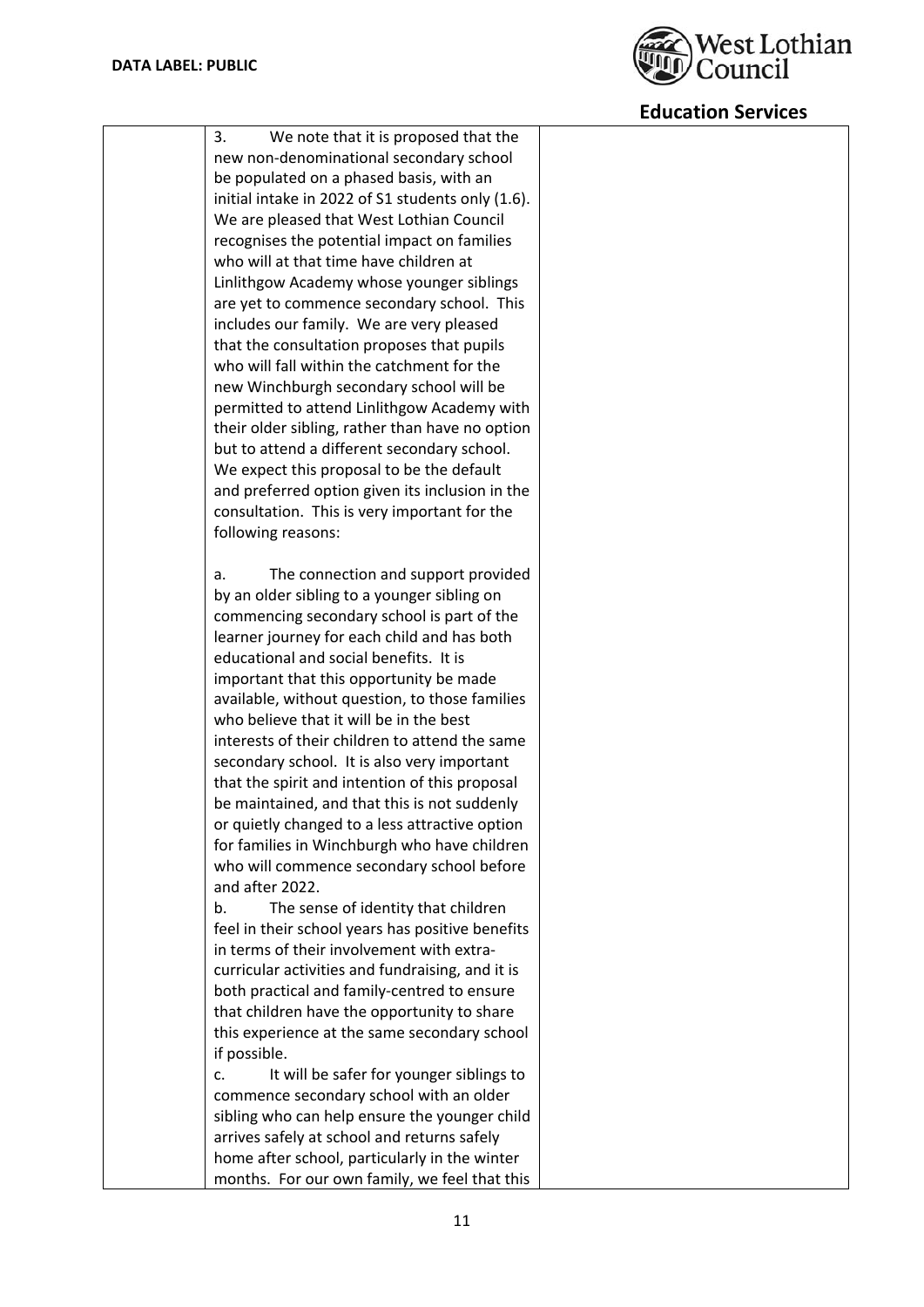

| 3.<br>We note that it is proposed that the        |  |
|---------------------------------------------------|--|
| new non-denominational secondary school           |  |
| be populated on a phased basis, with an           |  |
| initial intake in 2022 of S1 students only (1.6). |  |
| We are pleased that West Lothian Council          |  |
| recognises the potential impact on families       |  |
| who will at that time have children at            |  |
| Linlithgow Academy whose younger siblings         |  |
| are yet to commence secondary school. This        |  |
| includes our family. We are very pleased          |  |
| that the consultation proposes that pupils        |  |
| who will fall within the catchment for the        |  |
| new Winchburgh secondary school will be           |  |
| permitted to attend Linlithgow Academy with       |  |
| their older sibling, rather than have no option   |  |
| but to attend a different secondary school.       |  |
| We expect this proposal to be the default         |  |
| and preferred option given its inclusion in the   |  |
| consultation. This is very important for the      |  |
| following reasons:                                |  |
|                                                   |  |
| The connection and support provided<br>a.         |  |
| by an older sibling to a younger sibling on       |  |
| commencing secondary school is part of the        |  |
| learner journey for each child and has both       |  |
| educational and social benefits. It is            |  |
| important that this opportunity be made           |  |
| available, without question, to those families    |  |
| who believe that it will be in the best           |  |
| interests of their children to attend the same    |  |
| secondary school. It is also very important       |  |
| that the spirit and intention of this proposal    |  |
| be maintained, and that this is not suddenly      |  |
| or quietly changed to a less attractive option    |  |
| for families in Winchburgh who have children      |  |
| who will commence secondary school before         |  |
| and after 2022.                                   |  |
| The sense of identity that children<br>b.         |  |
| feel in their school years has positive benefits  |  |
| in terms of their involvement with extra-         |  |
| curricular activities and fundraising, and it is  |  |
| both practical and family-centred to ensure       |  |
| that children have the opportunity to share       |  |
| this experience at the same secondary school      |  |
| if possible.                                      |  |
| It will be safer for younger siblings to<br>c.    |  |
| commence secondary school with an older           |  |
| sibling who can help ensure the younger child     |  |
| arrives safely at school and returns safely       |  |
| home after school, particularly in the winter     |  |
|                                                   |  |
| months. For our own family, we feel that this     |  |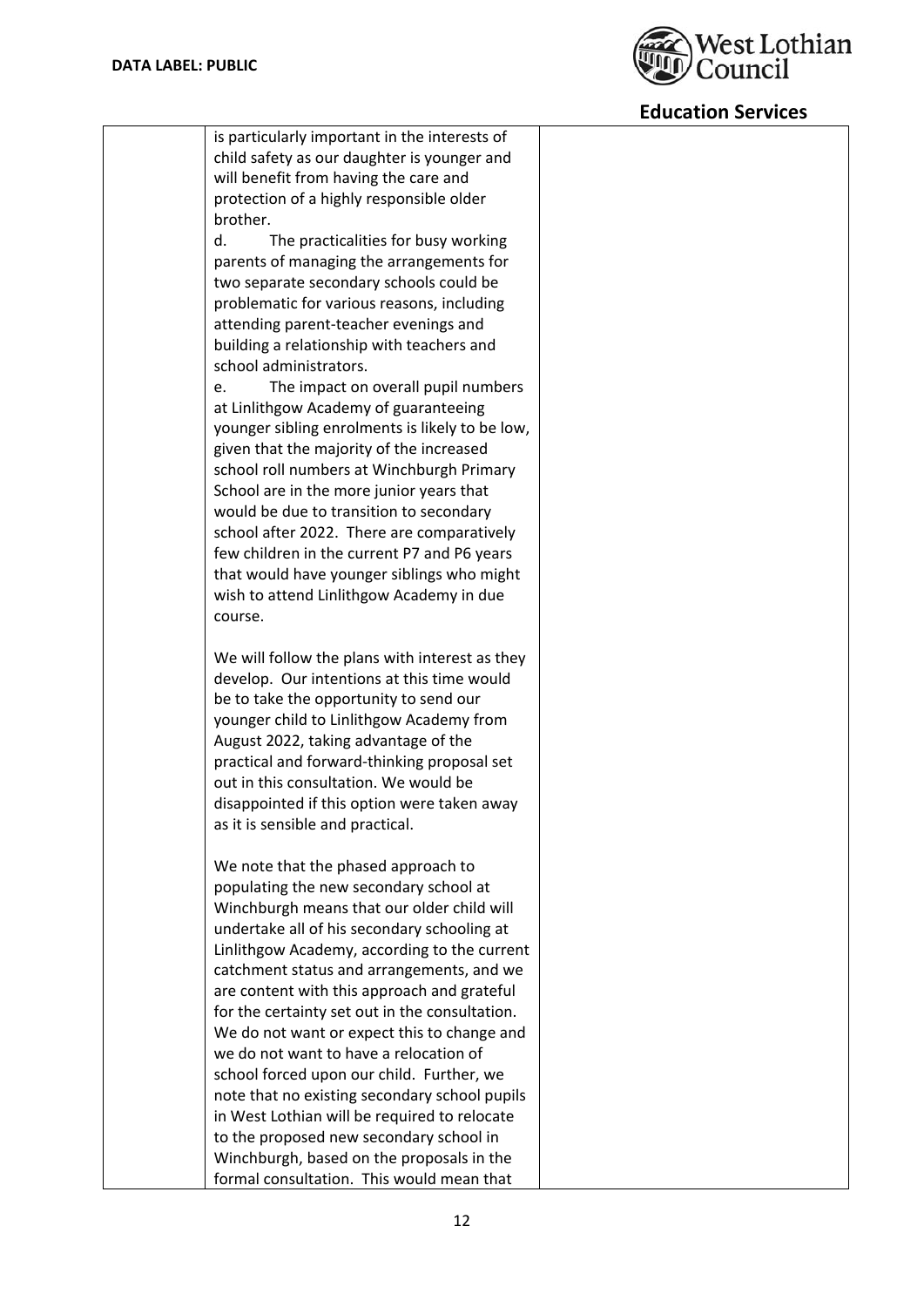

| is particularly important in the interests of                       |  |
|---------------------------------------------------------------------|--|
| child safety as our daughter is younger and                         |  |
| will benefit from having the care and                               |  |
| protection of a highly responsible older                            |  |
| brother.                                                            |  |
| d.<br>The practicalities for busy working                           |  |
| parents of managing the arrangements for                            |  |
| two separate secondary schools could be                             |  |
| problematic for various reasons, including                          |  |
| attending parent-teacher evenings and                               |  |
|                                                                     |  |
| building a relationship with teachers and<br>school administrators. |  |
|                                                                     |  |
| The impact on overall pupil numbers<br>e.                           |  |
| at Linlithgow Academy of guaranteeing                               |  |
| younger sibling enrolments is likely to be low,                     |  |
| given that the majority of the increased                            |  |
| school roll numbers at Winchburgh Primary                           |  |
| School are in the more junior years that                            |  |
| would be due to transition to secondary                             |  |
| school after 2022. There are comparatively                          |  |
| few children in the current P7 and P6 years                         |  |
| that would have younger siblings who might                          |  |
| wish to attend Linlithgow Academy in due                            |  |
| course.                                                             |  |
|                                                                     |  |
| We will follow the plans with interest as they                      |  |
| develop. Our intentions at this time would                          |  |
| be to take the opportunity to send our                              |  |
| younger child to Linlithgow Academy from                            |  |
| August 2022, taking advantage of the                                |  |
| practical and forward-thinking proposal set                         |  |
| out in this consultation. We would be                               |  |
| disappointed if this option were taken away                         |  |
|                                                                     |  |
| as it is sensible and practical.                                    |  |
|                                                                     |  |
| We note that the phased approach to                                 |  |
| populating the new secondary school at                              |  |
| Winchburgh means that our older child will                          |  |
| undertake all of his secondary schooling at                         |  |
| Linlithgow Academy, according to the current                        |  |
| catchment status and arrangements, and we                           |  |
| are content with this approach and grateful                         |  |
| for the certainty set out in the consultation.                      |  |
| We do not want or expect this to change and                         |  |
| we do not want to have a relocation of                              |  |
| school forced upon our child. Further, we                           |  |
| note that no existing secondary school pupils                       |  |
| in West Lothian will be required to relocate                        |  |
| to the proposed new secondary school in                             |  |
| Winchburgh, based on the proposals in the                           |  |
| formal consultation. This would mean that                           |  |
|                                                                     |  |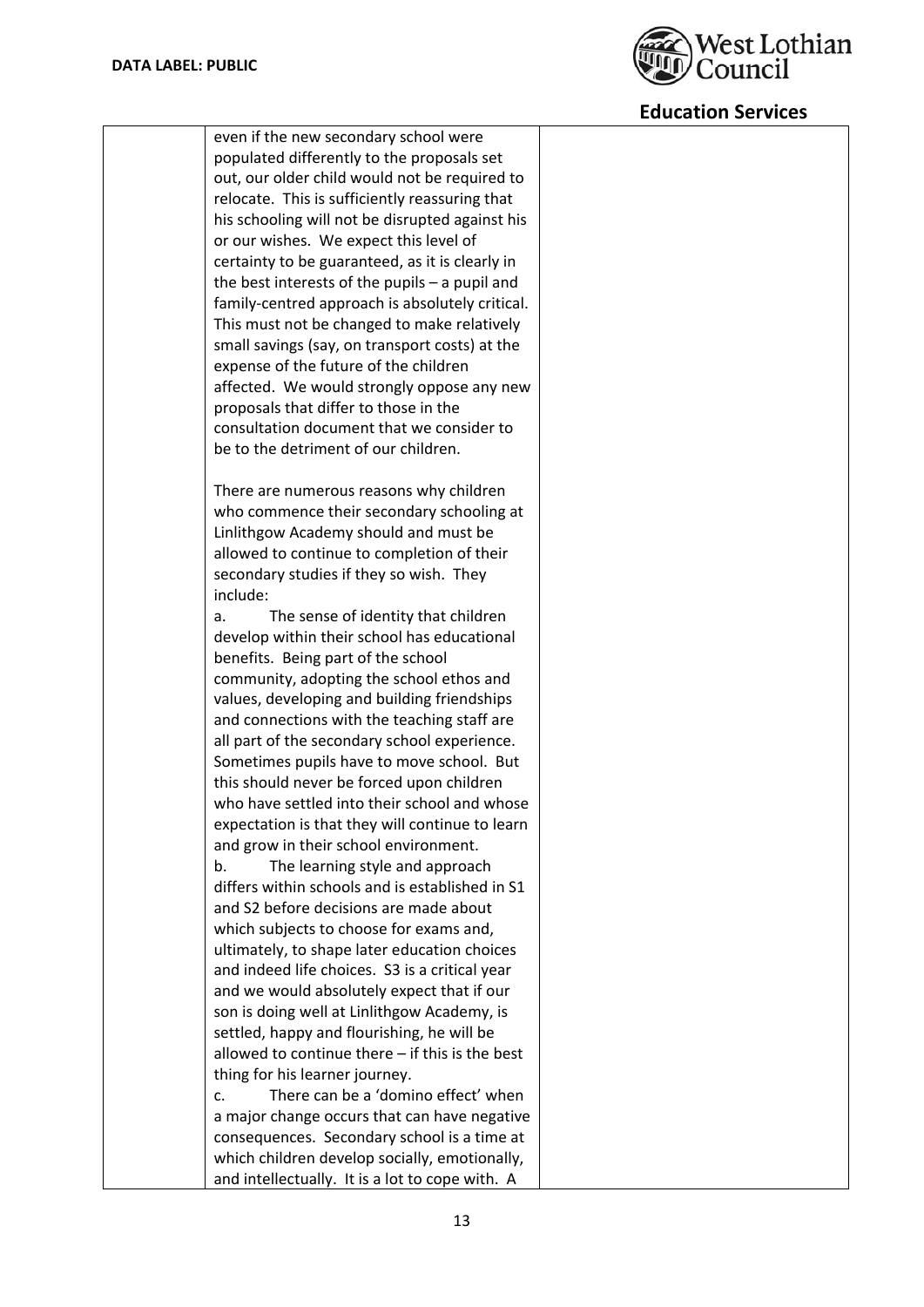

| even if the new secondary school were                                              |
|------------------------------------------------------------------------------------|
| populated differently to the proposals set                                         |
| out, our older child would not be required to                                      |
| relocate. This is sufficiently reassuring that                                     |
| his schooling will not be disrupted against his                                    |
| or our wishes. We expect this level of                                             |
| certainty to be guaranteed, as it is clearly in                                    |
| the best interests of the pupils - a pupil and                                     |
| family-centred approach is absolutely critical.                                    |
| This must not be changed to make relatively                                        |
| small savings (say, on transport costs) at the                                     |
| expense of the future of the children                                              |
| affected. We would strongly oppose any new                                         |
| proposals that differ to those in the                                              |
| consultation document that we consider to                                          |
| be to the detriment of our children.                                               |
|                                                                                    |
| There are numerous reasons why children                                            |
| who commence their secondary schooling at                                          |
| Linlithgow Academy should and must be                                              |
| allowed to continue to completion of their                                         |
| secondary studies if they so wish. They                                            |
| include:                                                                           |
| The sense of identity that children<br>a.                                          |
| develop within their school has educational                                        |
| benefits. Being part of the school                                                 |
| community, adopting the school ethos and                                           |
| values, developing and building friendships                                        |
| and connections with the teaching staff are                                        |
| all part of the secondary school experience.                                       |
| Sometimes pupils have to move school. But                                          |
| this should never be forced upon children                                          |
| who have settled into their school and whose                                       |
| expectation is that they will continue to learn                                    |
| and grow in their school environment.                                              |
| b.                                                                                 |
| The learning style and approach<br>differs within schools and is established in S1 |
| and S2 before decisions are made about                                             |
|                                                                                    |
| which subjects to choose for exams and,                                            |
| ultimately, to shape later education choices                                       |
| and indeed life choices. S3 is a critical year                                     |
| and we would absolutely expect that if our                                         |
| son is doing well at Linlithgow Academy, is                                        |
| settled, happy and flourishing, he will be                                         |
| allowed to continue there - if this is the best                                    |
| thing for his learner journey.                                                     |
| There can be a 'domino effect' when<br>c.                                          |
| a major change occurs that can have negative                                       |
| consequences. Secondary school is a time at                                        |
| which children develop socially, emotionally,                                      |
| and intellectually. It is a lot to cope with. A                                    |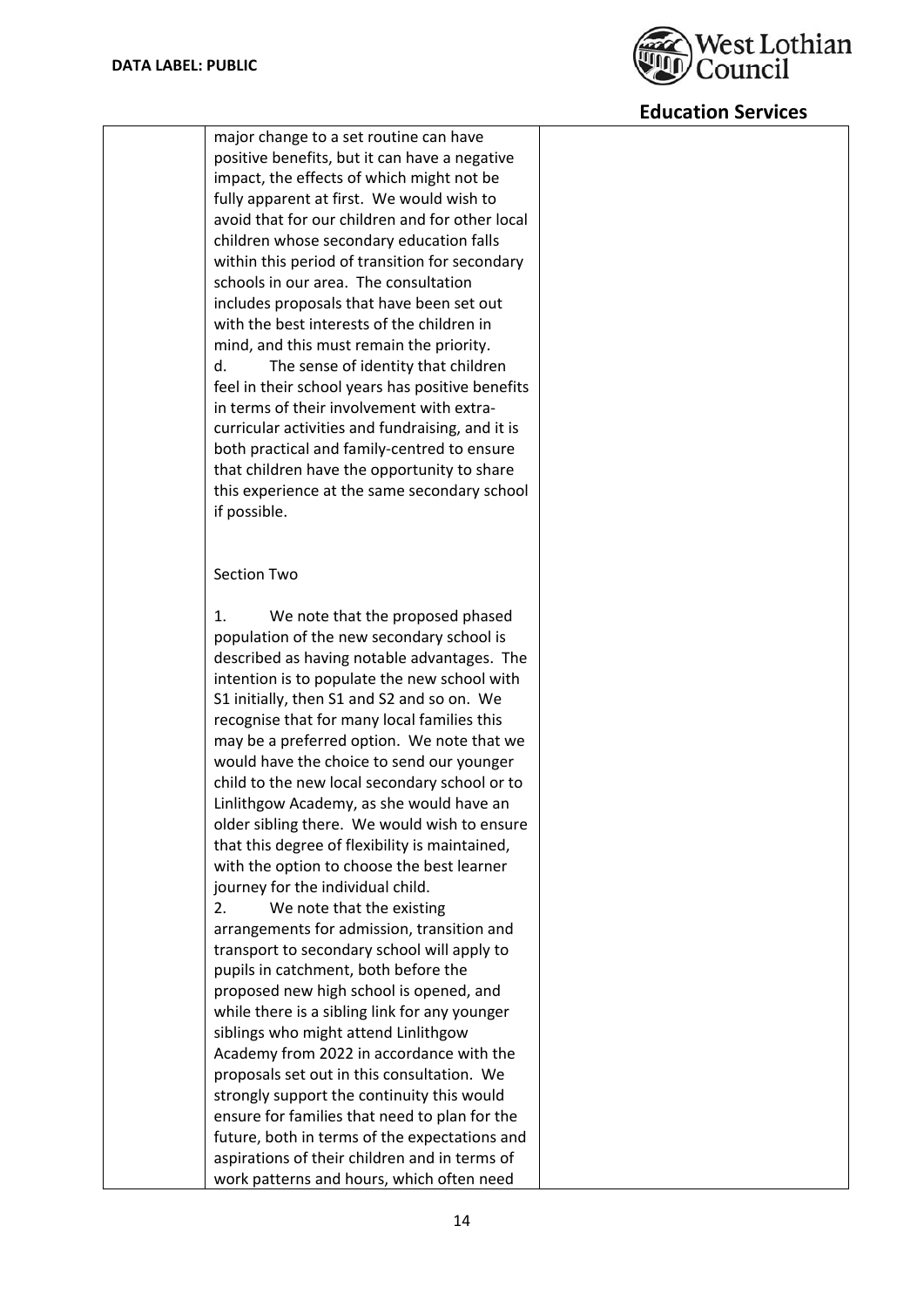

| Section Two<br>1.<br>We note that the proposed phased<br>population of the new secondary school is<br>described as having notable advantages. The<br>intention is to populate the new school with<br>S1 initially, then S1 and S2 and so on. We<br>recognise that for many local families this<br>may be a preferred option. We note that we<br>would have the choice to send our younger<br>child to the new local secondary school or to<br>Linlithgow Academy, as she would have an<br>older sibling there. We would wish to ensure<br>that this degree of flexibility is maintained,<br>with the option to choose the best learner<br>journey for the individual child.<br>2.<br>We note that the existing<br>arrangements for admission, transition and<br>transport to secondary school will apply to<br>pupils in catchment, both before the<br>proposed new high school is opened, and<br>while there is a sibling link for any younger<br>siblings who might attend Linlithgow<br>Academy from 2022 in accordance with the<br>proposals set out in this consultation. We | major change to a set routine can have<br>positive benefits, but it can have a negative<br>impact, the effects of which might not be<br>fully apparent at first. We would wish to<br>avoid that for our children and for other local<br>children whose secondary education falls<br>within this period of transition for secondary<br>schools in our area. The consultation<br>includes proposals that have been set out<br>with the best interests of the children in<br>mind, and this must remain the priority.<br>d.<br>The sense of identity that children<br>feel in their school years has positive benefits<br>in terms of their involvement with extra-<br>curricular activities and fundraising, and it is<br>both practical and family-centred to ensure<br>that children have the opportunity to share<br>this experience at the same secondary school<br>if possible. |  |
|-----------------------------------------------------------------------------------------------------------------------------------------------------------------------------------------------------------------------------------------------------------------------------------------------------------------------------------------------------------------------------------------------------------------------------------------------------------------------------------------------------------------------------------------------------------------------------------------------------------------------------------------------------------------------------------------------------------------------------------------------------------------------------------------------------------------------------------------------------------------------------------------------------------------------------------------------------------------------------------------------------------------------------------------------------------------------------------|------------------------------------------------------------------------------------------------------------------------------------------------------------------------------------------------------------------------------------------------------------------------------------------------------------------------------------------------------------------------------------------------------------------------------------------------------------------------------------------------------------------------------------------------------------------------------------------------------------------------------------------------------------------------------------------------------------------------------------------------------------------------------------------------------------------------------------------------------------------------------------|--|
|                                                                                                                                                                                                                                                                                                                                                                                                                                                                                                                                                                                                                                                                                                                                                                                                                                                                                                                                                                                                                                                                                   |                                                                                                                                                                                                                                                                                                                                                                                                                                                                                                                                                                                                                                                                                                                                                                                                                                                                                    |  |
| ensure for families that need to plan for the<br>future, both in terms of the expectations and                                                                                                                                                                                                                                                                                                                                                                                                                                                                                                                                                                                                                                                                                                                                                                                                                                                                                                                                                                                    | strongly support the continuity this would                                                                                                                                                                                                                                                                                                                                                                                                                                                                                                                                                                                                                                                                                                                                                                                                                                         |  |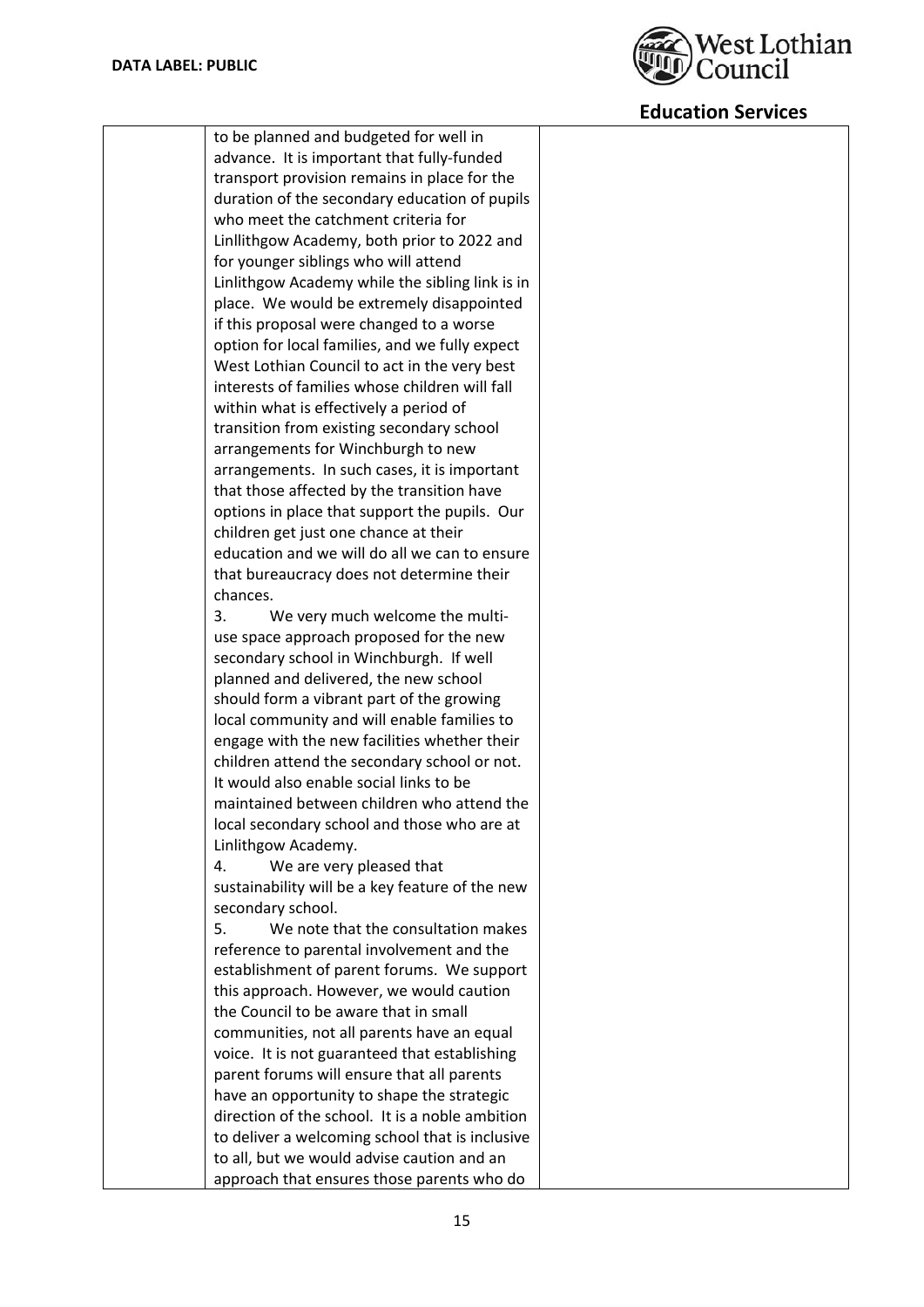

| to be planned and budgeted for well in          |
|-------------------------------------------------|
| advance. It is important that fully-funded      |
| transport provision remains in place for the    |
| duration of the secondary education of pupils   |
| who meet the catchment criteria for             |
| Linllithgow Academy, both prior to 2022 and     |
| for younger siblings who will attend            |
| Linlithgow Academy while the sibling link is in |
| place. We would be extremely disappointed       |
| if this proposal were changed to a worse        |
| option for local families, and we fully expect  |
| West Lothian Council to act in the very best    |
| interests of families whose children will fall  |
| within what is effectively a period of          |
| transition from existing secondary school       |
| arrangements for Winchburgh to new              |
| arrangements. In such cases, it is important    |
| that those affected by the transition have      |
|                                                 |
| options in place that support the pupils. Our   |
| children get just one chance at their           |
| education and we will do all we can to ensure   |
| that bureaucracy does not determine their       |
| chances.                                        |
| 3.<br>We very much welcome the multi-           |
| use space approach proposed for the new         |
| secondary school in Winchburgh. If well         |
| planned and delivered, the new school           |
| should form a vibrant part of the growing       |
| local community and will enable families to     |
| engage with the new facilities whether their    |
| children attend the secondary school or not.    |
| It would also enable social links to be         |
| maintained between children who attend the      |
| local secondary school and those who are at     |
| Linlithgow Academy.                             |
| 4.<br>We are very pleased that                  |
| sustainability will be a key feature of the new |
| secondary school.                               |
| We note that the consultation makes<br>5.       |
| reference to parental involvement and the       |
| establishment of parent forums. We support      |
| this approach. However, we would caution        |
| the Council to be aware that in small           |
| communities, not all parents have an equal      |
| voice. It is not guaranteed that establishing   |
| parent forums will ensure that all parents      |
| have an opportunity to shape the strategic      |
| direction of the school. It is a noble ambition |
| to deliver a welcoming school that is inclusive |
| to all, but we would advise caution and an      |
| approach that ensures those parents who do      |
|                                                 |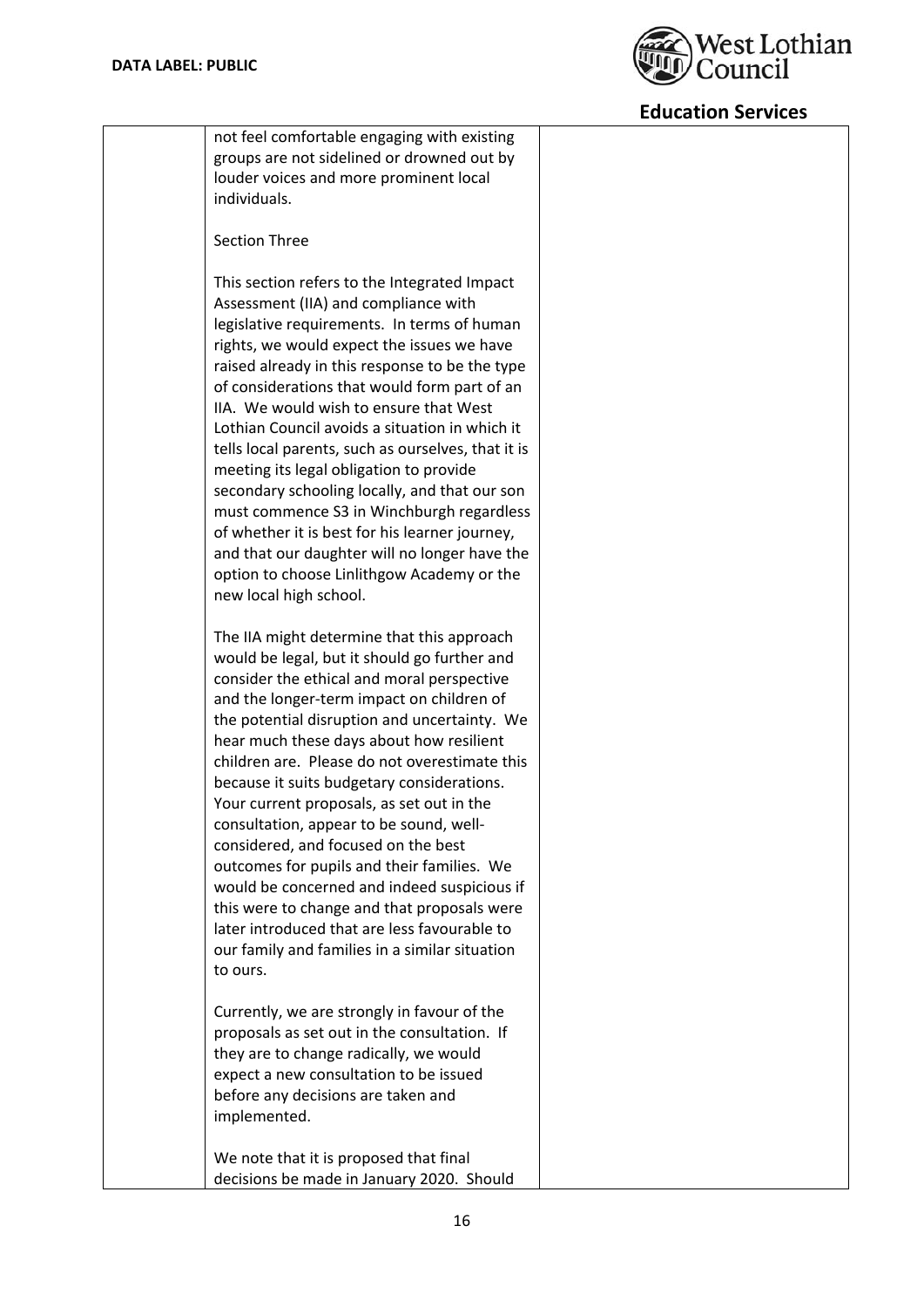

| not feel comfortable engaging with existing                                              |  |
|------------------------------------------------------------------------------------------|--|
| groups are not sidelined or drowned out by                                               |  |
| louder voices and more prominent local                                                   |  |
| individuals.                                                                             |  |
|                                                                                          |  |
| <b>Section Three</b>                                                                     |  |
|                                                                                          |  |
| This section refers to the Integrated Impact                                             |  |
| Assessment (IIA) and compliance with                                                     |  |
| legislative requirements. In terms of human                                              |  |
| rights, we would expect the issues we have                                               |  |
| raised already in this response to be the type                                           |  |
| of considerations that would form part of an                                             |  |
| IIA. We would wish to ensure that West                                                   |  |
| Lothian Council avoids a situation in which it                                           |  |
| tells local parents, such as ourselves, that it is                                       |  |
| meeting its legal obligation to provide                                                  |  |
| secondary schooling locally, and that our son                                            |  |
| must commence S3 in Winchburgh regardless                                                |  |
| of whether it is best for his learner journey,                                           |  |
| and that our daughter will no longer have the                                            |  |
| option to choose Linlithgow Academy or the                                               |  |
| new local high school.                                                                   |  |
|                                                                                          |  |
| The IIA might determine that this approach                                               |  |
| would be legal, but it should go further and                                             |  |
| consider the ethical and moral perspective                                               |  |
| and the longer-term impact on children of                                                |  |
| the potential disruption and uncertainty. We<br>hear much these days about how resilient |  |
| children are. Please do not overestimate this                                            |  |
| because it suits budgetary considerations.                                               |  |
| Your current proposals, as set out in the                                                |  |
| consultation, appear to be sound, well-                                                  |  |
| considered, and focused on the best                                                      |  |
| outcomes for pupils and their families. We                                               |  |
| would be concerned and indeed suspicious if                                              |  |
| this were to change and that proposals were                                              |  |
| later introduced that are less favourable to                                             |  |
| our family and families in a similar situation                                           |  |
| to ours.                                                                                 |  |
|                                                                                          |  |
| Currently, we are strongly in favour of the                                              |  |
| proposals as set out in the consultation. If                                             |  |
| they are to change radically, we would                                                   |  |
| expect a new consultation to be issued                                                   |  |
| before any decisions are taken and                                                       |  |
| implemented.                                                                             |  |
|                                                                                          |  |
| We note that it is proposed that final                                                   |  |
| decisions be made in January 2020. Should                                                |  |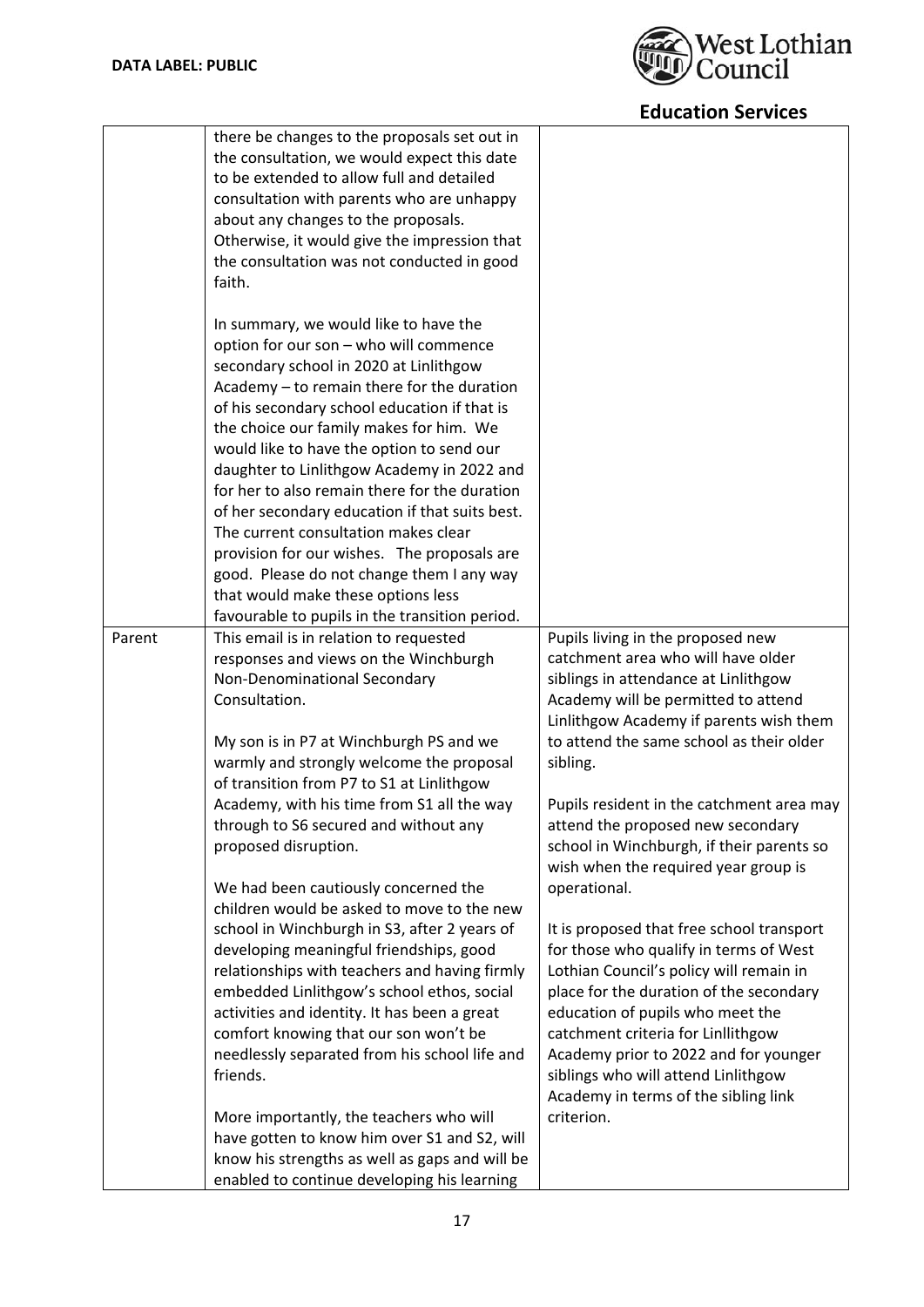

|        | there be changes to the proposals set out in<br>the consultation, we would expect this date<br>to be extended to allow full and detailed |                                                                                |
|--------|------------------------------------------------------------------------------------------------------------------------------------------|--------------------------------------------------------------------------------|
|        | consultation with parents who are unhappy                                                                                                |                                                                                |
|        | about any changes to the proposals.                                                                                                      |                                                                                |
|        | Otherwise, it would give the impression that                                                                                             |                                                                                |
|        | the consultation was not conducted in good                                                                                               |                                                                                |
|        | faith.                                                                                                                                   |                                                                                |
|        |                                                                                                                                          |                                                                                |
|        | In summary, we would like to have the                                                                                                    |                                                                                |
|        | option for our son - who will commence                                                                                                   |                                                                                |
|        | secondary school in 2020 at Linlithgow<br>Academy - to remain there for the duration                                                     |                                                                                |
|        | of his secondary school education if that is                                                                                             |                                                                                |
|        | the choice our family makes for him. We                                                                                                  |                                                                                |
|        | would like to have the option to send our                                                                                                |                                                                                |
|        | daughter to Linlithgow Academy in 2022 and                                                                                               |                                                                                |
|        | for her to also remain there for the duration                                                                                            |                                                                                |
|        | of her secondary education if that suits best.                                                                                           |                                                                                |
|        | The current consultation makes clear                                                                                                     |                                                                                |
|        | provision for our wishes. The proposals are                                                                                              |                                                                                |
|        | good. Please do not change them I any way                                                                                                |                                                                                |
|        | that would make these options less                                                                                                       |                                                                                |
|        | favourable to pupils in the transition period.                                                                                           |                                                                                |
| Parent | This email is in relation to requested                                                                                                   | Pupils living in the proposed new                                              |
|        | responses and views on the Winchburgh                                                                                                    | catchment area who will have older                                             |
|        | Non-Denominational Secondary<br>Consultation.                                                                                            | siblings in attendance at Linlithgow                                           |
|        |                                                                                                                                          | Academy will be permitted to attend<br>Linlithgow Academy if parents wish them |
|        | My son is in P7 at Winchburgh PS and we                                                                                                  | to attend the same school as their older                                       |
|        | warmly and strongly welcome the proposal                                                                                                 | sibling.                                                                       |
|        | of transition from P7 to S1 at Linlithgow                                                                                                |                                                                                |
|        | Academy, with his time from S1 all the way                                                                                               | Pupils resident in the catchment area may                                      |
|        | through to S6 secured and without any                                                                                                    | attend the proposed new secondary                                              |
|        | proposed disruption.                                                                                                                     | school in Winchburgh, if their parents so                                      |
|        |                                                                                                                                          | wish when the required year group is                                           |
|        | We had been cautiously concerned the                                                                                                     | operational.                                                                   |
|        | children would be asked to move to the new                                                                                               |                                                                                |
|        | school in Winchburgh in S3, after 2 years of                                                                                             | It is proposed that free school transport                                      |
|        | developing meaningful friendships, good                                                                                                  | for those who qualify in terms of West                                         |
|        | relationships with teachers and having firmly                                                                                            | Lothian Council's policy will remain in                                        |
|        | embedded Linlithgow's school ethos, social                                                                                               | place for the duration of the secondary                                        |
|        | activities and identity. It has been a great<br>comfort knowing that our son won't be                                                    | education of pupils who meet the<br>catchment criteria for Linllithgow         |
|        | needlessly separated from his school life and                                                                                            | Academy prior to 2022 and for younger                                          |
|        | friends.                                                                                                                                 | siblings who will attend Linlithgow                                            |
|        |                                                                                                                                          | Academy in terms of the sibling link                                           |
|        | More importantly, the teachers who will                                                                                                  | criterion.                                                                     |
|        | have gotten to know him over S1 and S2, will                                                                                             |                                                                                |
|        | know his strengths as well as gaps and will be                                                                                           |                                                                                |
|        | enabled to continue developing his learning                                                                                              |                                                                                |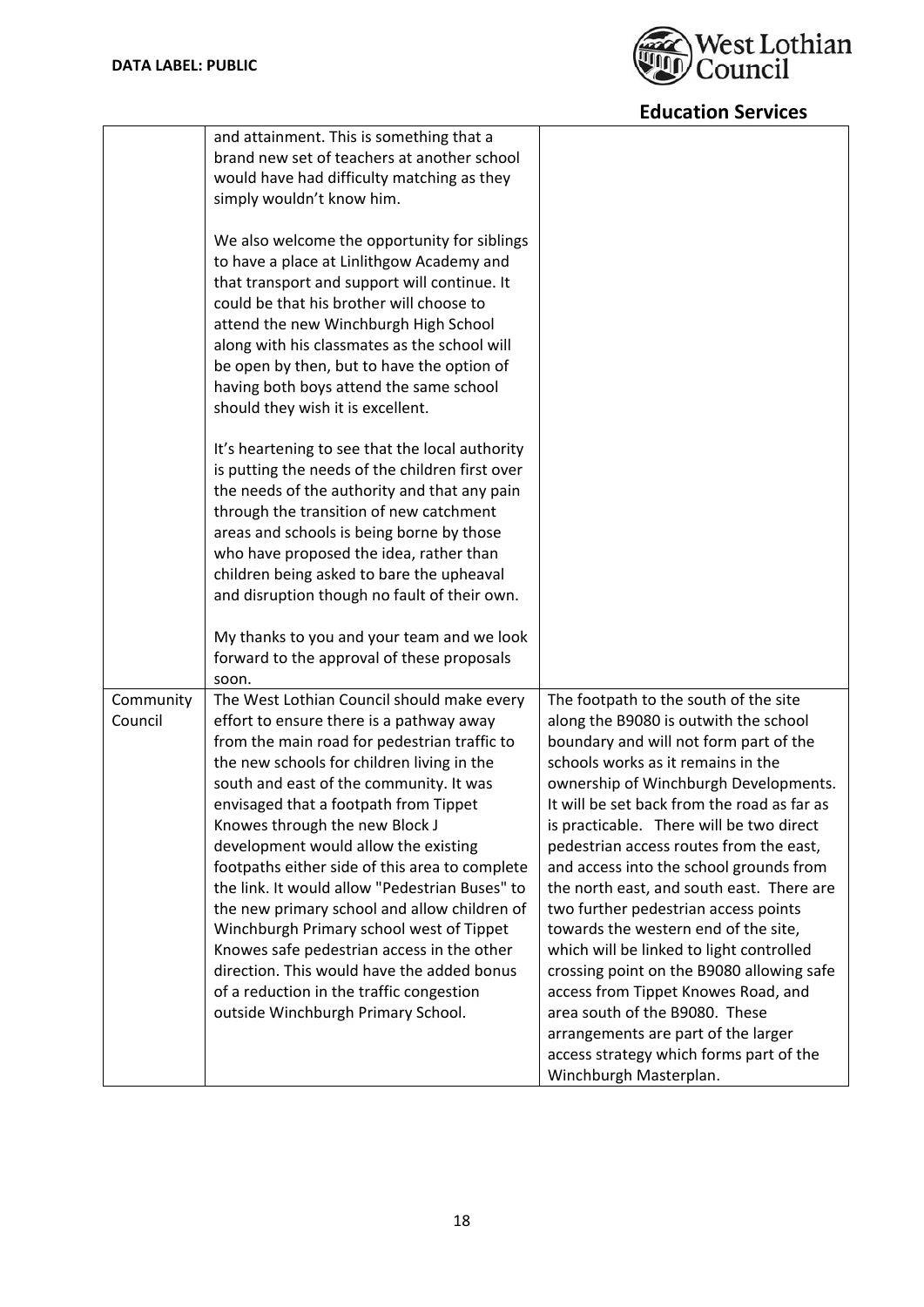

|                      | and attainment. This is something that a<br>brand new set of teachers at another school<br>would have had difficulty matching as they<br>simply wouldn't know him.<br>We also welcome the opportunity for siblings<br>to have a place at Linlithgow Academy and<br>that transport and support will continue. It<br>could be that his brother will choose to<br>attend the new Winchburgh High School<br>along with his classmates as the school will<br>be open by then, but to have the option of<br>having both boys attend the same school                                                                                                                                                                                    |                                                                                                                                                                                                                                                                                                                                                                                                                                                                                                                                                                                                                                                                                                                                                                                                     |
|----------------------|----------------------------------------------------------------------------------------------------------------------------------------------------------------------------------------------------------------------------------------------------------------------------------------------------------------------------------------------------------------------------------------------------------------------------------------------------------------------------------------------------------------------------------------------------------------------------------------------------------------------------------------------------------------------------------------------------------------------------------|-----------------------------------------------------------------------------------------------------------------------------------------------------------------------------------------------------------------------------------------------------------------------------------------------------------------------------------------------------------------------------------------------------------------------------------------------------------------------------------------------------------------------------------------------------------------------------------------------------------------------------------------------------------------------------------------------------------------------------------------------------------------------------------------------------|
|                      | should they wish it is excellent.<br>It's heartening to see that the local authority<br>is putting the needs of the children first over<br>the needs of the authority and that any pain<br>through the transition of new catchment<br>areas and schools is being borne by those<br>who have proposed the idea, rather than<br>children being asked to bare the upheaval<br>and disruption though no fault of their own.<br>My thanks to you and your team and we look<br>forward to the approval of these proposals<br>soon.                                                                                                                                                                                                     |                                                                                                                                                                                                                                                                                                                                                                                                                                                                                                                                                                                                                                                                                                                                                                                                     |
| Community<br>Council | The West Lothian Council should make every<br>effort to ensure there is a pathway away<br>from the main road for pedestrian traffic to<br>the new schools for children living in the<br>south and east of the community. It was<br>envisaged that a footpath from Tippet<br>Knowes through the new Block J<br>development would allow the existing<br>footpaths either side of this area to complete<br>the link. It would allow "Pedestrian Buses" to<br>the new primary school and allow children of<br>Winchburgh Primary school west of Tippet<br>Knowes safe pedestrian access in the other<br>direction. This would have the added bonus<br>of a reduction in the traffic congestion<br>outside Winchburgh Primary School. | The footpath to the south of the site<br>along the B9080 is outwith the school<br>boundary and will not form part of the<br>schools works as it remains in the<br>ownership of Winchburgh Developments.<br>It will be set back from the road as far as<br>is practicable. There will be two direct<br>pedestrian access routes from the east,<br>and access into the school grounds from<br>the north east, and south east. There are<br>two further pedestrian access points<br>towards the western end of the site,<br>which will be linked to light controlled<br>crossing point on the B9080 allowing safe<br>access from Tippet Knowes Road, and<br>area south of the B9080. These<br>arrangements are part of the larger<br>access strategy which forms part of the<br>Winchburgh Masterplan. |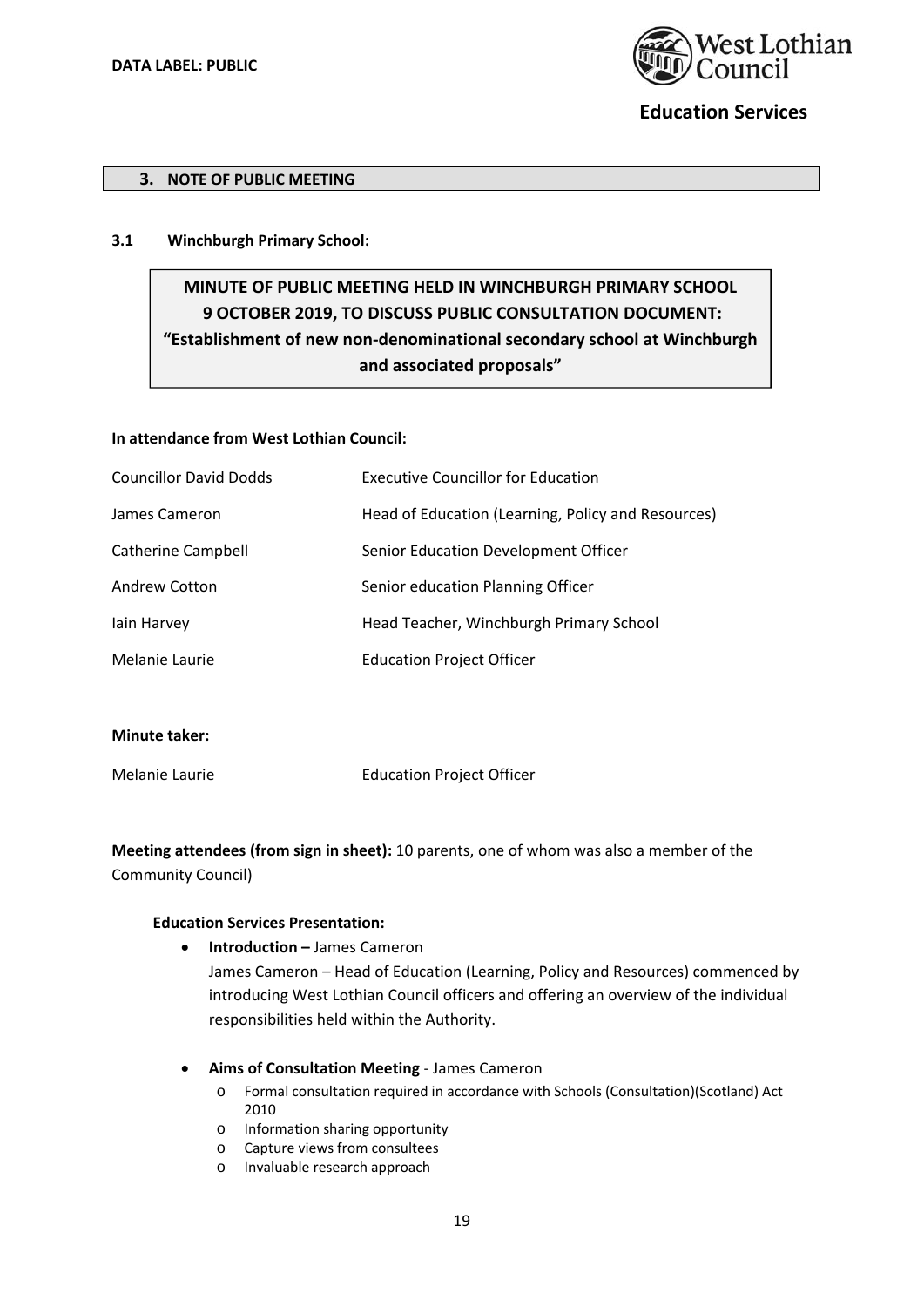

#### **3. NOTE OF PUBLIC MEETING**

#### **3.1 Winchburgh Primary School:**

# **MINUTE OF PUBLIC MEETING HELD IN WINCHBURGH PRIMARY SCHOOL 9 OCTOBER 2019, TO DISCUSS PUBLIC CONSULTATION DOCUMENT: "Establishment of new non‐denominational secondary school at Winchburgh and associated proposals"**

#### **In attendance from West Lothian Council:**

| <b>Councillor David Dodds</b> | <b>Executive Councillor for Education</b>          |
|-------------------------------|----------------------------------------------------|
| James Cameron                 | Head of Education (Learning, Policy and Resources) |
| <b>Catherine Campbell</b>     | Senior Education Development Officer               |
| Andrew Cotton                 | Senior education Planning Officer                  |
| lain Harvey                   | Head Teacher, Winchburgh Primary School            |
| Melanie Laurie                | <b>Education Project Officer</b>                   |
|                               |                                                    |

**Minute taker:** 

Melanie Laurie Education Project Officer

**Meeting attendees (from sign in sheet):** 10 parents, one of whom was also a member of the Community Council)

#### **Education Services Presentation:**

**Introduction –** James Cameron

James Cameron – Head of Education (Learning, Policy and Resources) commenced by introducing West Lothian Council officers and offering an overview of the individual responsibilities held within the Authority.

#### **Aims of Consultation Meeting** ‐ James Cameron

- o Formal consultation required in accordance with Schools (Consultation)(Scotland) Act 2010
- o Information sharing opportunity
- o Capture views from consultees
- o Invaluable research approach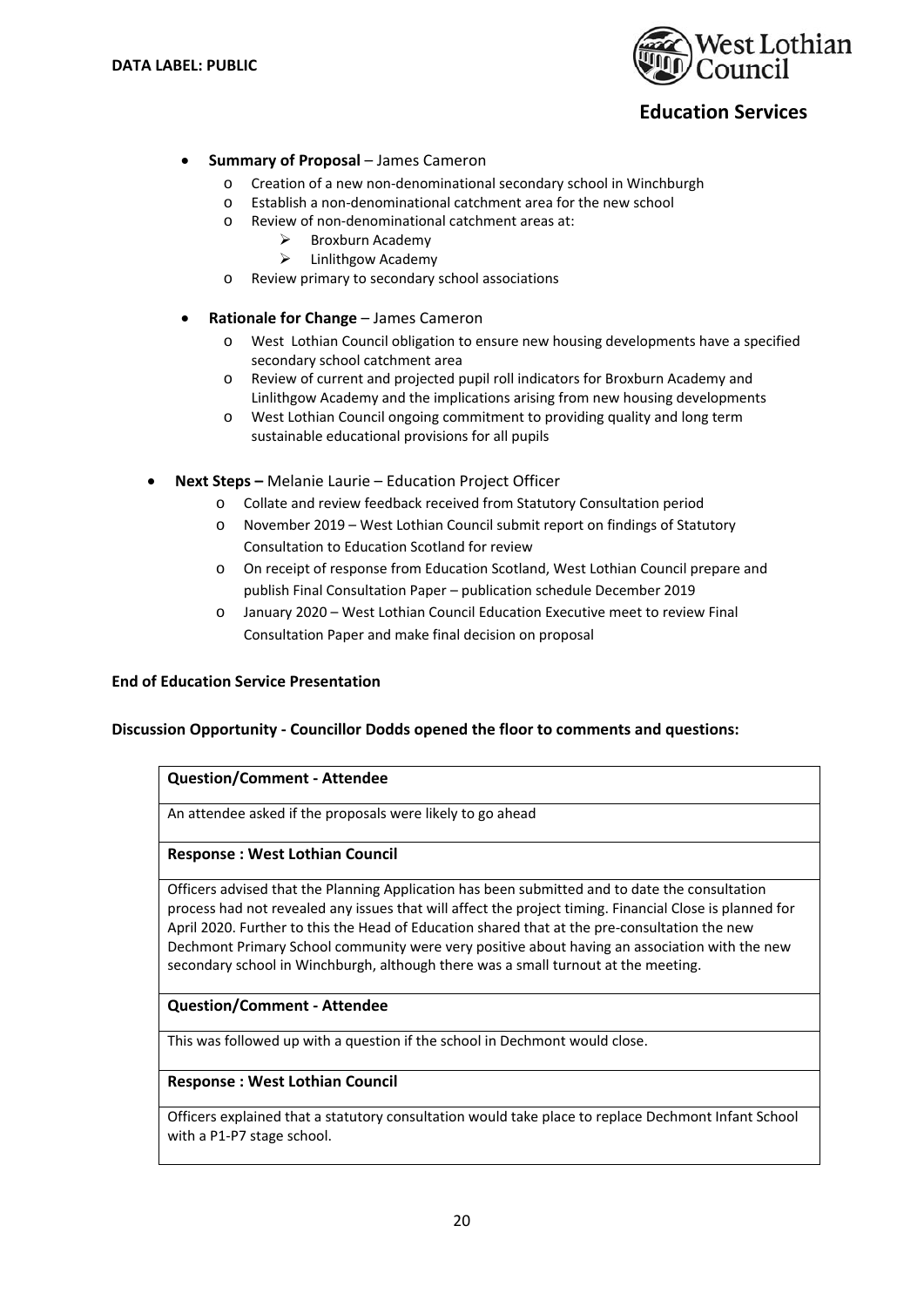

### **Summary of Proposal** – James Cameron

- o Creation of a new non‐denominational secondary school in Winchburgh
- o Establish a non‐denominational catchment area for the new school
- o Review of non‐denominational catchment areas at:
	- $\triangleright$  Broxburn Academy
	- $\triangleright$  Linlithgow Academy
- o Review primary to secondary school associations
- **Rationale for Change** James Cameron
	- o West Lothian Council obligation to ensure new housing developments have a specified secondary school catchment area
	- o Review of current and projected pupil roll indicators for Broxburn Academy and Linlithgow Academy and the implications arising from new housing developments
	- o West Lothian Council ongoing commitment to providing quality and long term sustainable educational provisions for all pupils
- **Next Steps** Melanie Laurie Education Project Officer
	- o Collate and review feedback received from Statutory Consultation period
	- o November 2019 West Lothian Council submit report on findings of Statutory Consultation to Education Scotland for review
	- o On receipt of response from Education Scotland, West Lothian Council prepare and publish Final Consultation Paper – publication schedule December 2019
	- o January 2020 West Lothian Council Education Executive meet to review Final Consultation Paper and make final decision on proposal

### **End of Education Service Presentation**

#### **Discussion Opportunity ‐ Councillor Dodds opened the floor to comments and questions:**

#### **Question/Comment ‐ Attendee**

An attendee asked if the proposals were likely to go ahead

#### **Response : West Lothian Council**

Officers advised that the Planning Application has been submitted and to date the consultation process had not revealed any issues that will affect the project timing. Financial Close is planned for April 2020. Further to this the Head of Education shared that at the pre‐consultation the new Dechmont Primary School community were very positive about having an association with the new secondary school in Winchburgh, although there was a small turnout at the meeting.

### **Question/Comment ‐ Attendee**

This was followed up with a question if the school in Dechmont would close.

#### **Response : West Lothian Council**

Officers explained that a statutory consultation would take place to replace Dechmont Infant School with a P1‐P7 stage school.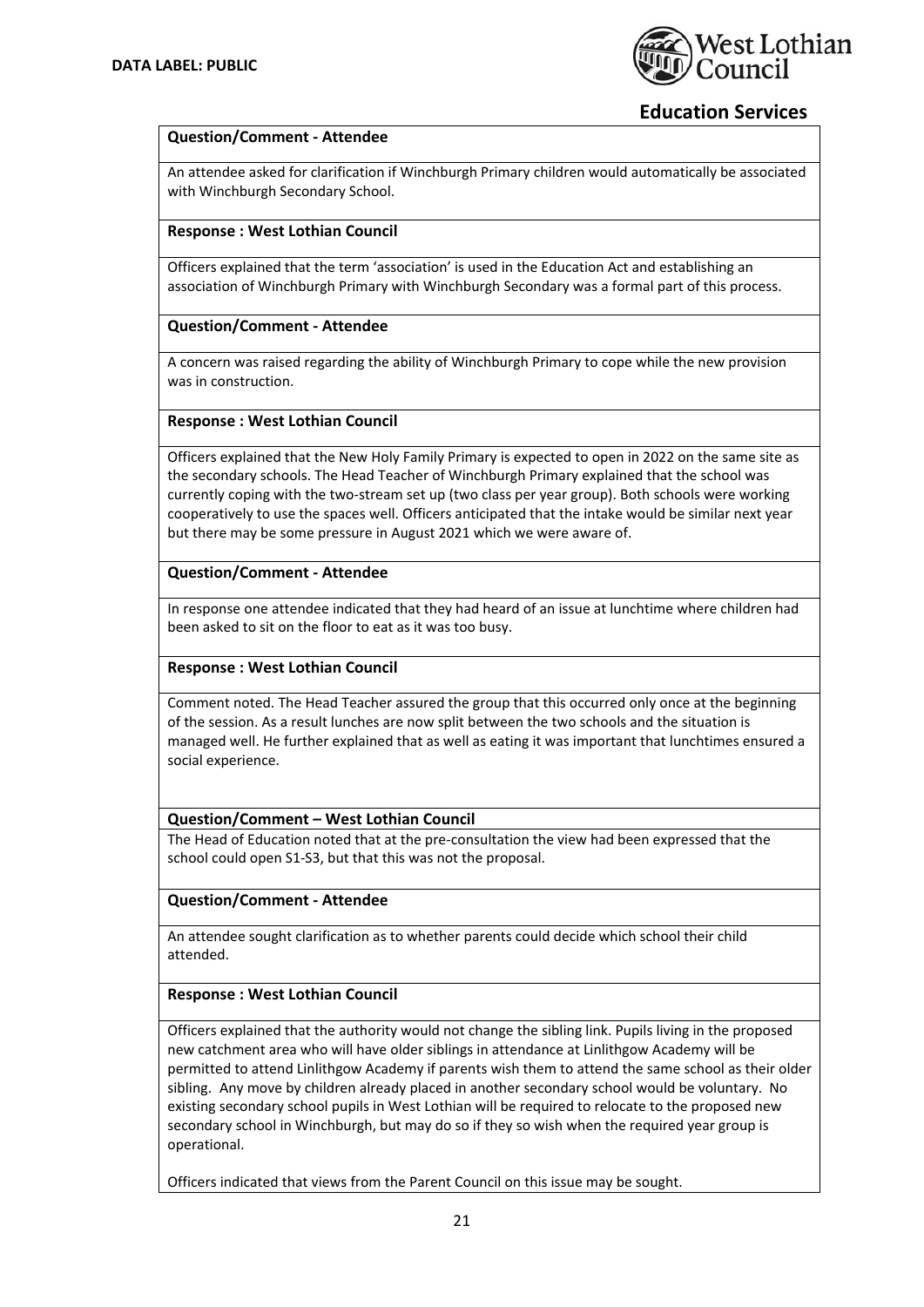

### **Question/Comment ‐ Attendee**

An attendee asked for clarification if Winchburgh Primary children would automatically be associated with Winchburgh Secondary School.

### **Response : West Lothian Council**

Officers explained that the term 'association' is used in the Education Act and establishing an association of Winchburgh Primary with Winchburgh Secondary was a formal part of this process.

#### **Question/Comment ‐ Attendee**

A concern was raised regarding the ability of Winchburgh Primary to cope while the new provision was in construction.

#### **Response : West Lothian Council**

Officers explained that the New Holy Family Primary is expected to open in 2022 on the same site as the secondary schools. The Head Teacher of Winchburgh Primary explained that the school was currently coping with the two-stream set up (two class per year group). Both schools were working cooperatively to use the spaces well. Officers anticipated that the intake would be similar next year but there may be some pressure in August 2021 which we were aware of.

#### **Question/Comment ‐ Attendee**

In response one attendee indicated that they had heard of an issue at lunchtime where children had been asked to sit on the floor to eat as it was too busy.

### **Response : West Lothian Council**

Comment noted. The Head Teacher assured the group that this occurred only once at the beginning of the session. As a result lunches are now split between the two schools and the situation is managed well. He further explained that as well as eating it was important that lunchtimes ensured a social experience.

### **Question/Comment – West Lothian Council**

The Head of Education noted that at the pre‐consultation the view had been expressed that the school could open S1‐S3, but that this was not the proposal.

### **Question/Comment ‐ Attendee**

An attendee sought clarification as to whether parents could decide which school their child attended.

### **Response : West Lothian Council**

Officers explained that the authority would not change the sibling link. Pupils living in the proposed new catchment area who will have older siblings in attendance at Linlithgow Academy will be permitted to attend Linlithgow Academy if parents wish them to attend the same school as their older sibling. Any move by children already placed in another secondary school would be voluntary. No existing secondary school pupils in West Lothian will be required to relocate to the proposed new secondary school in Winchburgh, but may do so if they so wish when the required year group is operational.

Officers indicated that views from the Parent Council on this issue may be sought.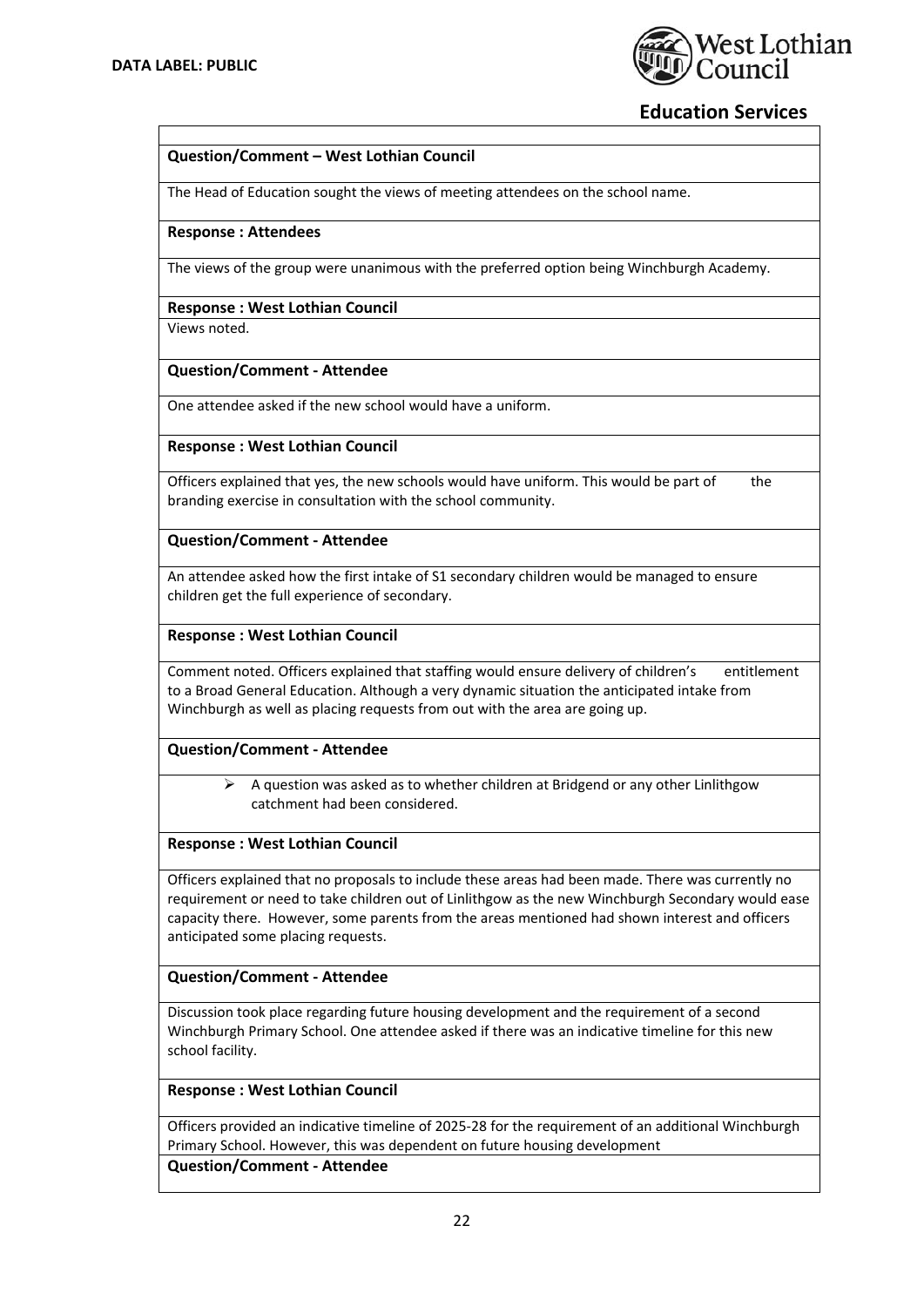

### **Question/Comment – West Lothian Council**

The Head of Education sought the views of meeting attendees on the school name.

#### **Response : Attendees**

The views of the group were unanimous with the preferred option being Winchburgh Academy.

### **Response : West Lothian Council**

Views noted.

#### **Question/Comment ‐ Attendee**

One attendee asked if the new school would have a uniform.

#### **Response : West Lothian Council**

Officers explained that yes, the new schools would have uniform. This would be part of the branding exercise in consultation with the school community.

## **Question/Comment ‐ Attendee**

An attendee asked how the first intake of S1 secondary children would be managed to ensure children get the full experience of secondary.

#### **Response : West Lothian Council**

Comment noted. Officers explained that staffing would ensure delivery of children's entitlement to a Broad General Education. Although a very dynamic situation the anticipated intake from Winchburgh as well as placing requests from out with the area are going up.

### **Question/Comment ‐ Attendee**

 $\triangleright$  A question was asked as to whether children at Bridgend or any other Linlithgow catchment had been considered.

#### **Response : West Lothian Council**

Officers explained that no proposals to include these areas had been made. There was currently no requirement or need to take children out of Linlithgow as the new Winchburgh Secondary would ease capacity there. However, some parents from the areas mentioned had shown interest and officers anticipated some placing requests.

### **Question/Comment ‐ Attendee**

Discussion took place regarding future housing development and the requirement of a second Winchburgh Primary School. One attendee asked if there was an indicative timeline for this new school facility.

#### **Response : West Lothian Council**

Officers provided an indicative timeline of 2025‐28 for the requirement of an additional Winchburgh Primary School. However, this was dependent on future housing development

**Question/Comment ‐ Attendee**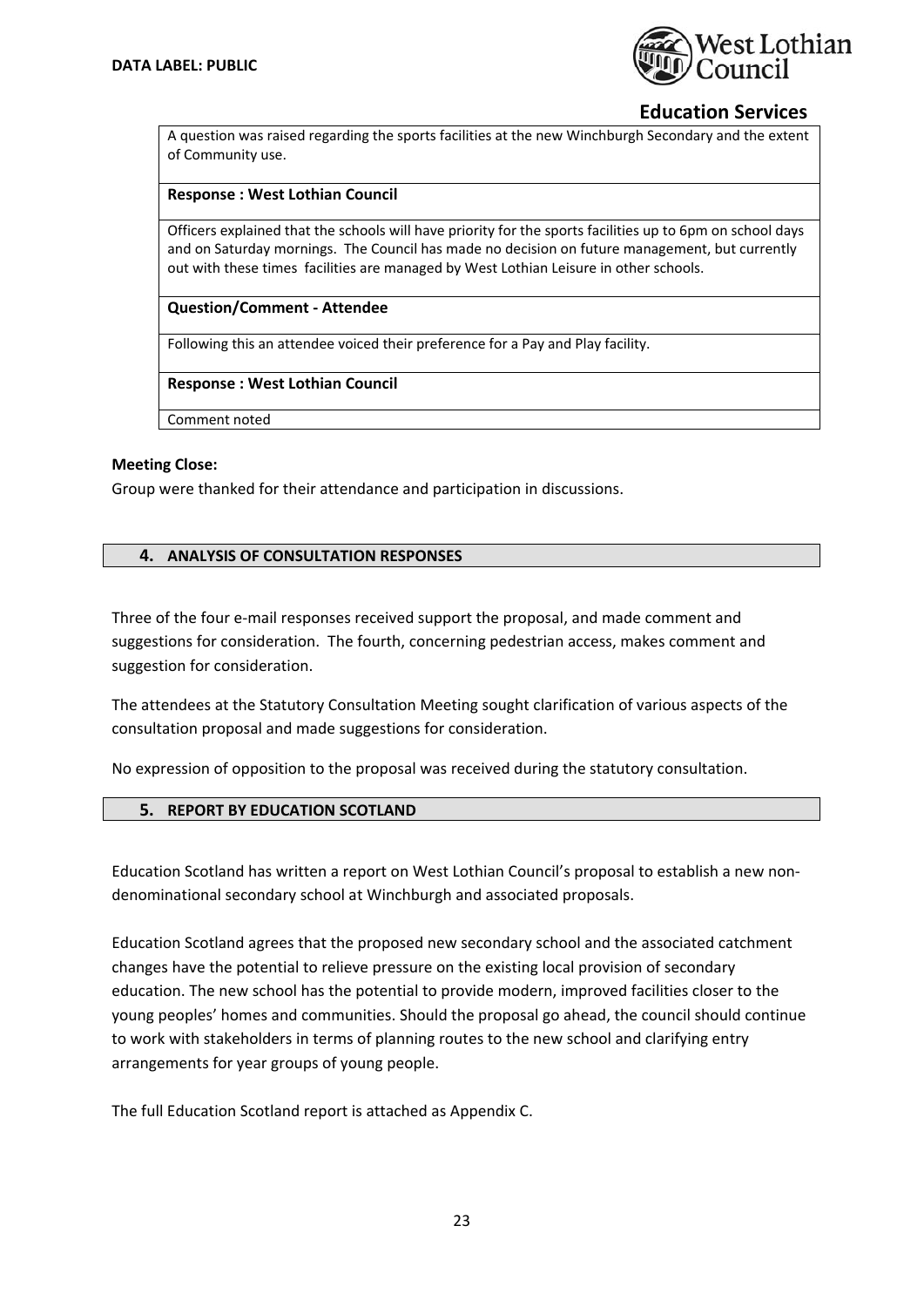

A question was raised regarding the sports facilities at the new Winchburgh Secondary and the extent of Community use.

### **Response : West Lothian Council**

Officers explained that the schools will have priority for the sports facilities up to 6pm on school days and on Saturday mornings. The Council has made no decision on future management, but currently out with these times facilities are managed by West Lothian Leisure in other schools.

### **Question/Comment ‐ Attendee**

Following this an attendee voiced their preference for a Pay and Play facility.

**Response : West Lothian Council**

Comment noted

#### **Meeting Close:**

Group were thanked for their attendance and participation in discussions.

### **4. ANALYSIS OF CONSULTATION RESPONSES**

Three of the four e-mail responses received support the proposal, and made comment and suggestions for consideration. The fourth, concerning pedestrian access, makes comment and suggestion for consideration.

The attendees at the Statutory Consultation Meeting sought clarification of various aspects of the consultation proposal and made suggestions for consideration.

No expression of opposition to the proposal was received during the statutory consultation.

### **5. REPORT BY EDUCATION SCOTLAND**

Education Scotland has written a report on West Lothian Council's proposal to establish a new non‐ denominational secondary school at Winchburgh and associated proposals.

Education Scotland agrees that the proposed new secondary school and the associated catchment changes have the potential to relieve pressure on the existing local provision of secondary education. The new school has the potential to provide modern, improved facilities closer to the young peoples' homes and communities. Should the proposal go ahead, the council should continue to work with stakeholders in terms of planning routes to the new school and clarifying entry arrangements for year groups of young people.

The full Education Scotland report is attached as Appendix C.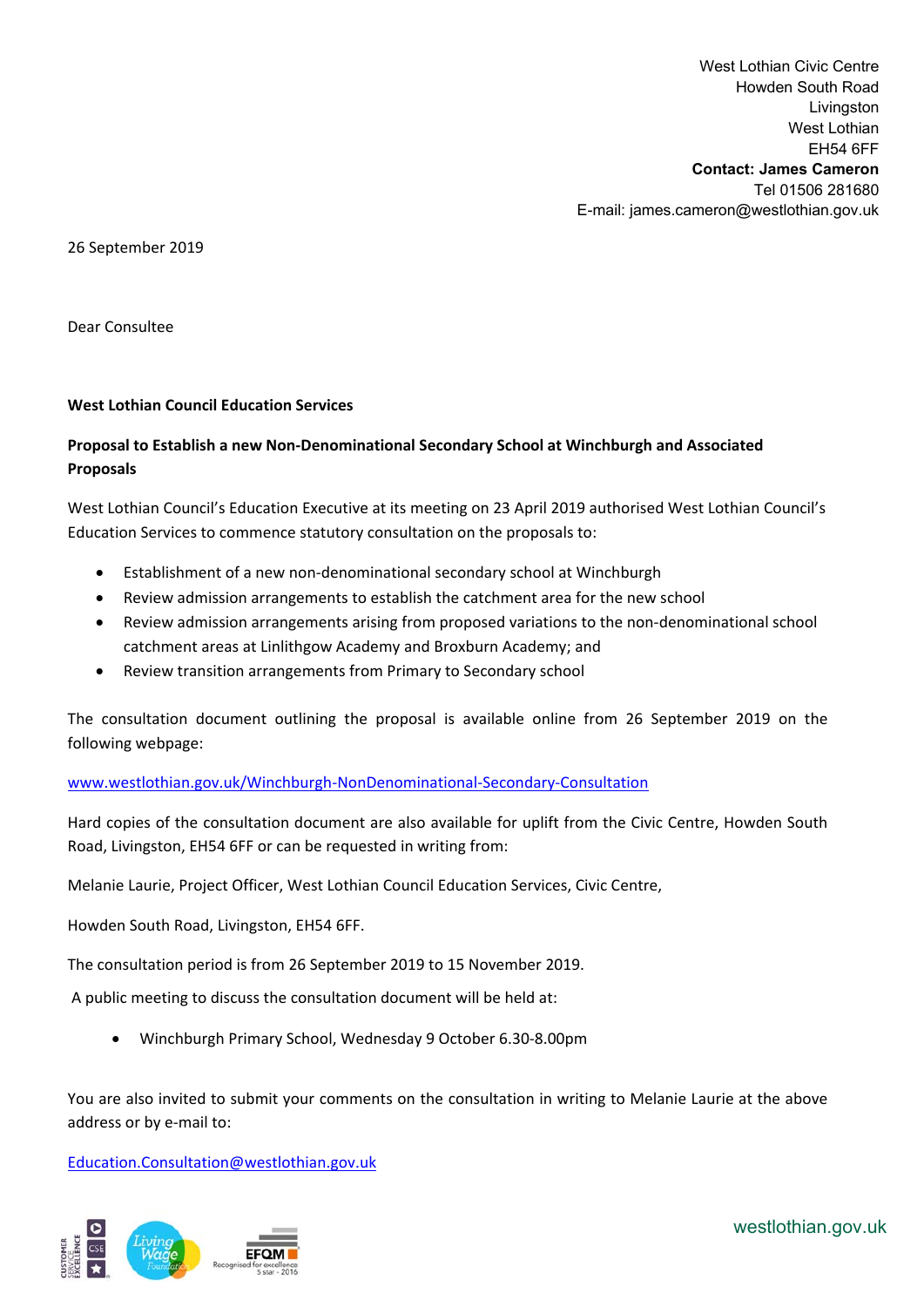West Lothian Civic Centre Howden South Road Livingston West Lothian EH54 6FF **Contact: James Cameron**  Tel 01506 281680 E-mail: james.cameron@westlothian.gov.uk

26 September 2019

Dear Consultee

## **West Lothian Council Education Services**

## **Proposal to Establish a new Non‐Denominational Secondary School at Winchburgh and Associated Proposals**

West Lothian Council's Education Executive at its meeting on 23 April 2019 authorised West Lothian Council's Education Services to commence statutory consultation on the proposals to:

- Establishment of a new non‐denominational secondary school at Winchburgh
- Review admission arrangements to establish the catchment area for the new school
- Review admission arrangements arising from proposed variations to the non-denominational school catchment areas at Linlithgow Academy and Broxburn Academy; and
- Review transition arrangements from Primary to Secondary school

The consultation document outlining the proposal is available online from 26 September 2019 on the following webpage:

## www.westlothian.gov.uk/Winchburgh‐NonDenominational‐Secondary‐Consultation

Hard copies of the consultation document are also available for uplift from the Civic Centre, Howden South Road, Livingston, EH54 6FF or can be requested in writing from:

Melanie Laurie, Project Officer, West Lothian Council Education Services, Civic Centre,

Howden South Road, Livingston, EH54 6FF.

The consultation period is from 26 September 2019 to 15 November 2019.

A public meeting to discuss the consultation document will be held at:

Winchburgh Primary School, Wednesday 9 October 6.30‐8.00pm

You are also invited to submit your comments on the consultation in writing to Melanie Laurie at the above address or by e‐mail to:

Education.Consultation@westlothian.gov.uk



westlothian.gov.uk